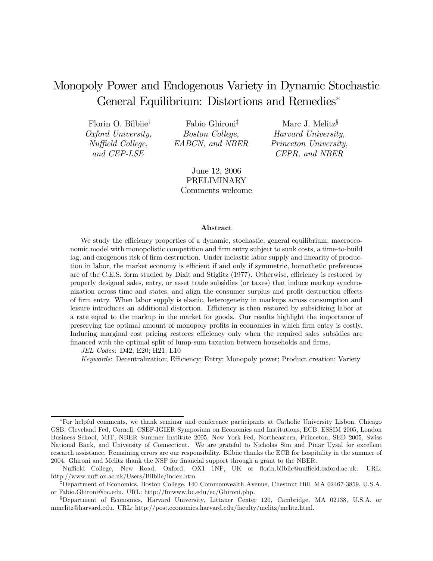# Monopoly Power and Endogenous Variety in Dynamic Stochastic General Equilibrium: Distortions and Remedies<sup>∗</sup>

Florin O. Bilbiie† Oxford University, Nuffield College, and CEP-LSE

Fabio Ghironi‡ Boston College, EABCN, and NBER

Marc J. Melitz§ Harvard University, Princeton University, CEPR, and NBER

June 12, 2006 PRELIMINARY Comments welcome

#### Abstract

We study the efficiency properties of a dynamic, stochastic, general equilibrium, macroeconomic model with monopolistic competition and firm entry subject to sunk costs, a time-to-build lag, and exogenous risk of firm destruction. Under inelastic labor supply and linearity of production in labor, the market economy is efficient if and only if symmetric, homothetic preferences are of the C.E.S. form studied by Dixit and Stiglitz (1977). Otherwise, efficiency is restored by properly designed sales, entry, or asset trade subsidies (or taxes) that induce markup synchronization across time and states, and align the consumer surplus and profit destruction effects of firm entry. When labor supply is elastic, heterogeneity in markups across consumption and leisure introduces an additional distortion. Efficiency is then restored by subsidizing labor at a rate equal to the markup in the market for goods. Our results highlight the importance of preserving the optimal amount of monopoly profits in economies in which firm entry is costly. Inducing marginal cost pricing restores efficiency only when the required sales subsidies are financed with the optimal split of lump-sum taxation between households and firms.

JEL Codes: D42; E20; H21; L10

Keywords: Decentralization; Efficiency; Entry; Monopoly power; Product creation; Variety

<sup>∗</sup>For helpful comments, we thank seminar and conference participants at Catholic University Lisbon, Chicago GSB, Cleveland Fed, Cornell, CSEF-IGIER Symposium on Economics and Institutions, ECB, ESSIM 2005, London Business School, MIT, NBER Summer Institute 2005, New York Fed, Northeastern, Princeton, SED 2005, Swiss National Bank, and University of Connecticut. We are grateful to Nicholas Sim and Pinar Uysal for excellent research assistance. Remaining errors are our responsibility. Bilbiie thanks the ECB for hospitality in the summer of 2004. Ghironi and Melitz thank the NSF for financial support through a grant to the NBER.

<sup>†</sup>Nuffield College, New Road, Oxford, OX1 1NF, UK or florin.bilbiie@nuffield.oxford.ac.uk; URL: http://www.nuff.ox.ac.uk/Users/Bilbiie/index.htm

<sup>‡</sup>Department of Economics, Boston College, 140 Commonwealth Avenue, Chestnut Hill, MA 02467-3859, U.S.A. or Fabio.Ghironi@bc.edu. URL: http://fmwww.bc.edu/ec/Ghironi.php.

<sup>§</sup>Department of Economics, Harvard University, Littauer Center 120, Cambridge, MA 02138, U.S.A. or mmelitz@harvard.edu. URL: http://post.economics.harvard.edu/faculty/melitz/melitz.html.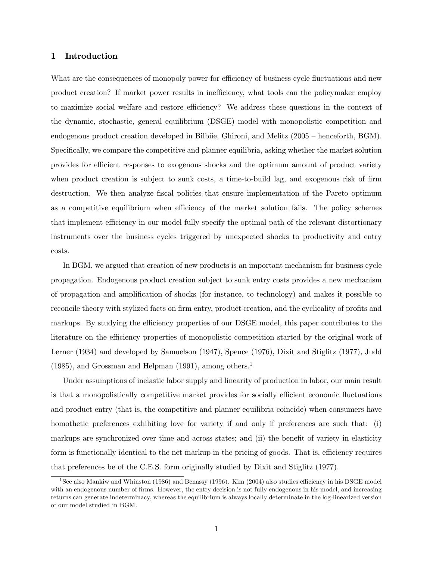## 1 Introduction

What are the consequences of monopoly power for efficiency of business cycle fluctuations and new product creation? If market power results in inefficiency, what tools can the policymaker employ to maximize social welfare and restore efficiency? We address these questions in the context of the dynamic, stochastic, general equilibrium (DSGE) model with monopolistic competition and endogenous product creation developed in Bilbiie, Ghironi, and Melitz (2005 — henceforth, BGM). Specifically, we compare the competitive and planner equilibria, asking whether the market solution provides for efficient responses to exogenous shocks and the optimum amount of product variety when product creation is subject to sunk costs, a time-to-build lag, and exogenous risk of firm destruction. We then analyze fiscal policies that ensure implementation of the Pareto optimum as a competitive equilibrium when efficiency of the market solution fails. The policy schemes that implement efficiency in our model fully specify the optimal path of the relevant distortionary instruments over the business cycles triggered by unexpected shocks to productivity and entry costs.

In BGM, we argued that creation of new products is an important mechanism for business cycle propagation. Endogenous product creation subject to sunk entry costs provides a new mechanism of propagation and amplification of shocks (for instance, to technology) and makes it possible to reconcile theory with stylized facts on firm entry, product creation, and the cyclicality of profits and markups. By studying the efficiency properties of our DSGE model, this paper contributes to the literature on the efficiency properties of monopolistic competition started by the original work of Lerner (1934) and developed by Samuelson (1947), Spence (1976), Dixit and Stiglitz (1977), Judd  $(1985)$ , and Grossman and Helpman  $(1991)$ , among others.<sup>1</sup>

Under assumptions of inelastic labor supply and linearity of production in labor, our main result is that a monopolistically competitive market provides for socially efficient economic fluctuations and product entry (that is, the competitive and planner equilibria coincide) when consumers have homothetic preferences exhibiting love for variety if and only if preferences are such that: (i) markups are synchronized over time and across states; and (ii) the benefit of variety in elasticity form is functionally identical to the net markup in the pricing of goods. That is, efficiency requires that preferences be of the C.E.S. form originally studied by Dixit and Stiglitz (1977).

<sup>&</sup>lt;sup>1</sup>See also Mankiw and Whinston (1986) and Benassy (1996). Kim (2004) also studies efficiency in his DSGE model with an endogenous number of firms. However, the entry decision is not fully endogenous in his model, and increasing returns can generate indeterminacy, whereas the equilibrium is always locally determinate in the log-linearized version of our model studied in BGM.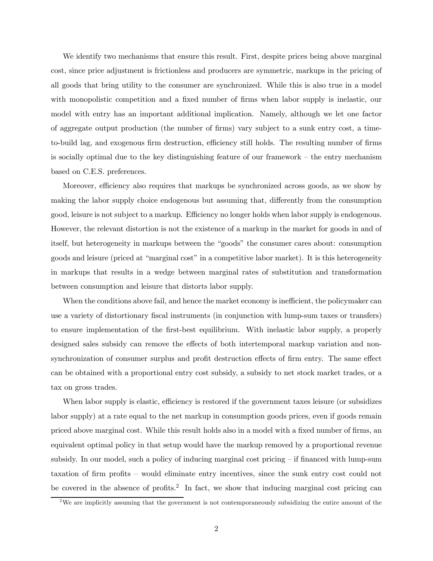We identify two mechanisms that ensure this result. First, despite prices being above marginal cost, since price adjustment is frictionless and producers are symmetric, markups in the pricing of all goods that bring utility to the consumer are synchronized. While this is also true in a model with monopolistic competition and a fixed number of firms when labor supply is inelastic, our model with entry has an important additional implication. Namely, although we let one factor of aggregate output production (the number of firms) vary subject to a sunk entry cost, a timeto-build lag, and exogenous firm destruction, efficiency still holds. The resulting number of firms is socially optimal due to the key distinguishing feature of our framework — the entry mechanism based on C.E.S. preferences.

Moreover, efficiency also requires that markups be synchronized across goods, as we show by making the labor supply choice endogenous but assuming that, differently from the consumption good, leisure is not subject to a markup. Efficiency no longer holds when labor supply is endogenous. However, the relevant distortion is not the existence of a markup in the market for goods in and of itself, but heterogeneity in markups between the "goods" the consumer cares about: consumption goods and leisure (priced at "marginal cost" in a competitive labor market). It is this heterogeneity in markups that results in a wedge between marginal rates of substitution and transformation between consumption and leisure that distorts labor supply.

When the conditions above fail, and hence the market economy is inefficient, the policymaker can use a variety of distortionary fiscal instruments (in conjunction with lump-sum taxes or transfers) to ensure implementation of the first-best equilibrium. With inelastic labor supply, a properly designed sales subsidy can remove the effects of both intertemporal markup variation and nonsynchronization of consumer surplus and profit destruction effects of firm entry. The same effect can be obtained with a proportional entry cost subsidy, a subsidy to net stock market trades, or a tax on gross trades.

When labor supply is elastic, efficiency is restored if the government taxes leisure (or subsidizes labor supply) at a rate equal to the net markup in consumption goods prices, even if goods remain priced above marginal cost. While this result holds also in a model with a fixed number of firms, an equivalent optimal policy in that setup would have the markup removed by a proportional revenue subsidy. In our model, such a policy of inducing marginal cost pricing — if financed with lump-sum taxation of firm profits — would eliminate entry incentives, since the sunk entry cost could not be covered in the absence of profits.<sup>2</sup> In fact, we show that inducing marginal cost pricing can

<sup>&</sup>lt;sup>2</sup>We are implicitly assuming that the government is not contemporaneously subsidizing the entire amount of the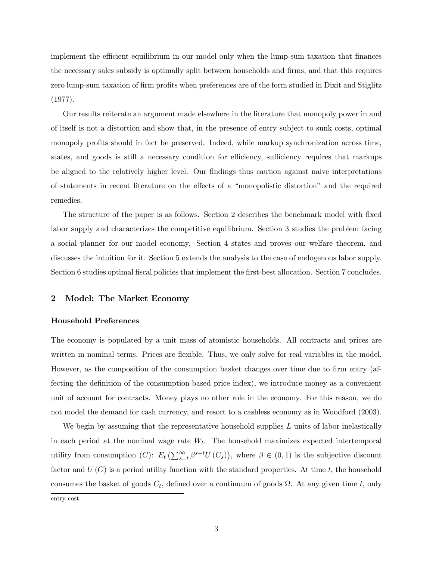implement the efficient equilibrium in our model only when the lump-sum taxation that finances the necessary sales subsidy is optimally split between households and firms, and that this requires zero lump-sum taxation of firm profits when preferences are of the form studied in Dixit and Stiglitz (1977).

Our results reiterate an argument made elsewhere in the literature that monopoly power in and of itself is not a distortion and show that, in the presence of entry subject to sunk costs, optimal monopoly profits should in fact be preserved. Indeed, while markup synchronization across time, states, and goods is still a necessary condition for efficiency, sufficiency requires that markups be aligned to the relatively higher level. Our findings thus caution against naive interpretations of statements in recent literature on the effects of a "monopolistic distortion" and the required remedies.

The structure of the paper is as follows. Section 2 describes the benchmark model with fixed labor supply and characterizes the competitive equilibrium. Section 3 studies the problem facing a social planner for our model economy. Section 4 states and proves our welfare theorem, and discusses the intuition for it. Section 5 extends the analysis to the case of endogenous labor supply. Section 6 studies optimal fiscal policies that implement the first-best allocation. Section 7 concludes.

#### 2 Model: The Market Economy

#### Household Preferences

The economy is populated by a unit mass of atomistic households. All contracts and prices are written in nominal terms. Prices are flexible. Thus, we only solve for real variables in the model. However, as the composition of the consumption basket changes over time due to firm entry (affecting the definition of the consumption-based price index), we introduce money as a convenient unit of account for contracts. Money plays no other role in the economy. For this reason, we do not model the demand for cash currency, and resort to a cashless economy as in Woodford (2003).

We begin by assuming that the representative household supplies  $L$  units of labor inelastically in each period at the nominal wage rate  $W_t$ . The household maximizes expected intertemporal utility from consumption  $(C)$ :  $E_t\left(\sum_{s=t}^{\infty} \beta^{s-t}U(C_s)\right)$ , where  $\beta \in (0,1)$  is the subjective discount factor and  $U(C)$  is a period utility function with the standard properties. At time t, the household consumes the basket of goods  $C_t$ , defined over a continuum of goods  $\Omega$ . At any given time t, only

entry cost.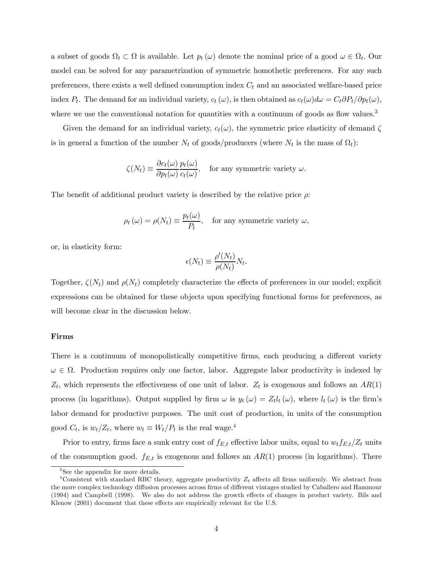a subset of goods  $\Omega_t \subset \Omega$  is available. Let  $p_t(\omega)$  denote the nominal price of a good  $\omega \in \Omega_t$ . Our model can be solved for any parametrization of symmetric homothetic preferences. For any such preferences, there exists a well defined consumption index  $C_t$  and an associated welfare-based price index  $P_t$ . The demand for an individual variety,  $c_t(\omega)$ , is then obtained as  $c_t(\omega)d\omega = C_t \partial P_t/\partial p_t(\omega)$ , where we use the conventional notation for quantities with a continuum of goods as flow values.<sup>3</sup>

Given the demand for an individual variety,  $c_t(\omega)$ , the symmetric price elasticity of demand  $\zeta$ is in general a function of the number  $N_t$  of goods/producers (where  $N_t$  is the mass of  $\Omega_t$ ):

$$
\zeta(N_t) \equiv \frac{\partial c_t(\omega)}{\partial p_t(\omega)} \frac{p_t(\omega)}{c_t(\omega)}, \quad \text{for any symmetric variety } \omega.
$$

The benefit of additional product variety is described by the relative price  $\rho$ :

$$
\rho_t(\omega) = \rho(N_t) \equiv \frac{p_t(\omega)}{P_t}
$$
, for any symmetric variety  $\omega$ ,

or, in elasticity form:

$$
\epsilon(N_t) \equiv \frac{\rho'(N_t)}{\rho(N_t)} N_t.
$$

Together,  $\zeta(N_t)$  and  $\rho(N_t)$  completely characterize the effects of preferences in our model; explicit expressions can be obtained for these objects upon specifying functional forms for preferences, as will become clear in the discussion below.

#### Firms

There is a continuum of monopolistically competitive firms, each producing a different variety  $\omega \in \Omega$ . Production requires only one factor, labor. Aggregate labor productivity is indexed by  $Z_t$ , which represents the effectiveness of one unit of labor.  $Z_t$  is exogenous and follows an  $AR(1)$ process (in logarithms). Output supplied by firm  $\omega$  is  $y_t(\omega) = Z_t l_t(\omega)$ , where  $l_t(\omega)$  is the firm's labor demand for productive purposes. The unit cost of production, in units of the consumption good  $C_t$ , is  $w_t/Z_t$ , where  $w_t \equiv W_t/P_t$  is the real wage.<sup>4</sup>

Prior to entry, firms face a sunk entry cost of  $f_{E,t}$  effective labor units, equal to  $w_t f_{E,t}/Z_t$  units of the consumption good.  $f_{E,t}$  is exogenous and follows an  $AR(1)$  process (in logarithms). There

<sup>&</sup>lt;sup>3</sup>See the appendix for more details.

<sup>&</sup>lt;sup>4</sup>Consistent with standard RBC theory, aggregate productivity  $Z_t$  affects all firms uniformly. We abstract from the more complex technology diffusion processes across firms of different vintages studied by Caballero and Hammour (1994) and Campbell (1998). We also do not address the growth effects of changes in product variety. Bils and Klenow (2001) document that these effects are empirically relevant for the U.S.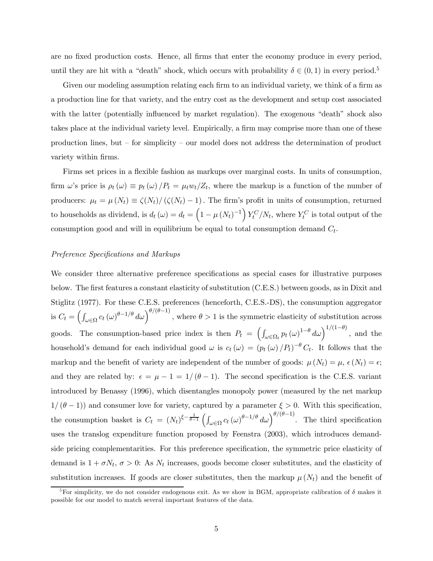are no fixed production costs. Hence, all firms that enter the economy produce in every period, until they are hit with a "death" shock, which occurs with probability  $\delta \in (0,1)$  in every period.<sup>5</sup>

Given our modeling assumption relating each firm to an individual variety, we think of a firm as a production line for that variety, and the entry cost as the development and setup cost associated with the latter (potentially influenced by market regulation). The exogenous "death" shock also takes place at the individual variety level. Empirically, a firm may comprise more than one of these production lines, but — for simplicity — our model does not address the determination of product variety within firms.

Firms set prices in a flexible fashion as markups over marginal costs. In units of consumption, firm  $\omega$ 's price is  $\rho_t(\omega) \equiv p_t(\omega)/P_t = \mu_t w_t/Z_t$ , where the markup is a function of the number of producers:  $\mu_t = \mu(N_t) \equiv \zeta(N_t) / (\zeta(N_t) - 1)$ . The firm's profit in units of consumption, returned to households as dividend, is  $d_t(\omega) = d_t = \left(1 - \mu (N_t)^{-1}\right) Y_t^C/N_t$ , where  $Y_t^C$  is total output of the consumption good and will in equilibrium be equal to total consumption demand  $C_t$ .

#### Preference Specifications and Markups

We consider three alternative preference specifications as special cases for illustrative purposes below. The first features a constant elasticity of substitution (C.E.S.) between goods, as in Dixit and Stiglitz (1977). For these C.E.S. preferences (henceforth, C.E.S.-DS), the consumption aggregator is  $C_t = \left(\int_{\omega \in \Omega} c_t (\omega)^{\theta - 1/\theta} d\omega \right)^{\theta/(\theta - 1)},$  where  $\theta > 1$  is the symmetric elasticity of substitution across goods. The consumption-based price index is then  $P_t = \left(\int_{\omega \in \Omega_t} p_t(\omega)^{1-\theta} d\omega\right)^{1/(1-\theta)}$ , and the household's demand for each individual good  $\omega$  is  $c_t(\omega)=(p_t(\omega) /P_t)^{-\theta} C_t$ . It follows that the markup and the benefit of variety are independent of the number of goods:  $\mu(N_t) = \mu$ ,  $\epsilon(N_t) = \epsilon$ ; and they are related by:  $\epsilon = \mu - 1 = 1/(\theta - 1)$ . The second specification is the C.E.S. variant introduced by Benassy (1996), which disentangles monopoly power (measured by the net markup  $1/(\theta - 1)$  and consumer love for variety, captured by a parameter  $\xi > 0$ . With this specification, the consumption basket is  $C_t = (N_t)^{\xi - \frac{1}{\theta - 1}} \left( \int_{\omega \in \Omega} c_t (\omega)^{\theta - 1/\theta} d\omega \right)^{\theta/(\theta - 1)}$ . The third specification uses the translog expenditure function proposed by Feenstra (2003), which introduces demandside pricing complementarities. For this preference specification, the symmetric price elasticity of demand is  $1 + \sigma N_t$ ,  $\sigma > 0$ : As  $N_t$  increases, goods become closer substitutes, and the elasticity of substitution increases. If goods are closer substitutes, then the markup  $\mu(N_t)$  and the benefit of

<sup>&</sup>lt;sup>5</sup>For simplicity, we do not consider endogenous exit. As we show in BGM, appropriate calibration of  $\delta$  makes it possible for our model to match several important features of the data.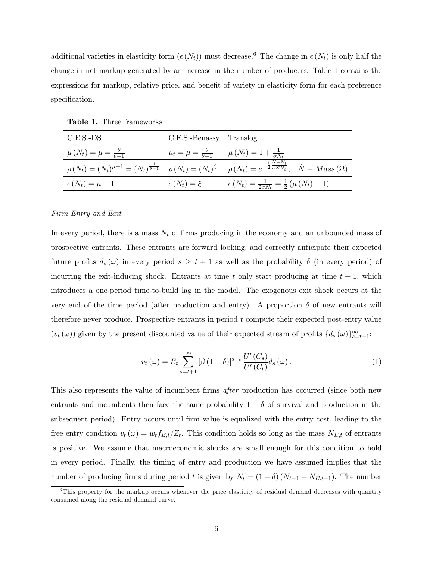additional varieties in elasticity form  $(\epsilon(N_t))$  must decrease.<sup>6</sup> The change in  $\epsilon(N_t)$  is only half the change in net markup generated by an increase in the number of producers. Table 1 contains the expressions for markup, relative price, and benefit of variety in elasticity form for each preference specification.

| <b>Table 1.</b> Three frameworks                        |                         |                                                                                                                                                                                                             |
|---------------------------------------------------------|-------------------------|-------------------------------------------------------------------------------------------------------------------------------------------------------------------------------------------------------------|
| $C.E.S.-DS$                                             | C.E.S.-Benassy Translog |                                                                                                                                                                                                             |
| $\mu\left(N_t\right) = \mu = \frac{\theta}{\theta - 1}$ |                         | $\mu_t = \mu = \frac{\theta}{\theta - 1}$ $\mu(N_t) = 1 + \frac{1}{\sigma N_t}$                                                                                                                             |
|                                                         |                         | $\rho(N_t) = (N_t)^{\mu-1} = (N_t)^{\frac{1}{\theta-1}} \quad \rho(N_t) = (N_t)^{\xi} \quad \rho(N_t) = e^{-\frac{1}{2} \frac{\tilde{N} - N_t}{\sigma \tilde{N} N_t}}, \quad \tilde{N} \equiv Mass(\Omega)$ |
| $\epsilon(N_t) = \mu - 1$                               | $\epsilon(N_t) = \xi$   | $\epsilon(N_t) = \frac{1}{2\sigma N_t} = \frac{1}{2} (\mu(N_t) - 1)$                                                                                                                                        |

#### Firm Entry and Exit

In every period, there is a mass  $N_t$  of firms producing in the economy and an unbounded mass of prospective entrants. These entrants are forward looking, and correctly anticipate their expected future profits  $d_s(\omega)$  in every period  $s \geq t+1$  as well as the probability  $\delta$  (in every period) of incurring the exit-inducing shock. Entrants at time t only start producing at time  $t + 1$ , which introduces a one-period time-to-build lag in the model. The exogenous exit shock occurs at the very end of the time period (after production and entry). A proportion  $\delta$  of new entrants will therefore never produce. Prospective entrants in period t compute their expected post-entry value  $(v_t(\omega))$  given by the present discounted value of their expected stream of profits  $\{d_s(\omega)\}_{s=t+1}^{\infty}$ .

$$
v_t(\omega) = E_t \sum_{s=t+1}^{\infty} \left[ \beta (1 - \delta) \right]^{s-t} \frac{U'(C_s)}{U'(C_t)} d_s(\omega). \tag{1}
$$

This also represents the value of incumbent firms *after* production has occurred (since both new entrants and incumbents then face the same probability  $1 - \delta$  of survival and production in the subsequent period). Entry occurs until firm value is equalized with the entry cost, leading to the free entry condition  $v_t(\omega) = w_t f_{E,t}/Z_t$ . This condition holds so long as the mass  $N_{E,t}$  of entrants is positive. We assume that macroeconomic shocks are small enough for this condition to hold in every period. Finally, the timing of entry and production we have assumed implies that the number of producing firms during period t is given by  $N_t = (1 - \delta) (N_{t-1} + N_{E,t-1})$ . The number

 ${}^{6}$ This property for the markup occurs whenever the price elasticity of residual demand decreases with quantity consumed along the residual demand curve.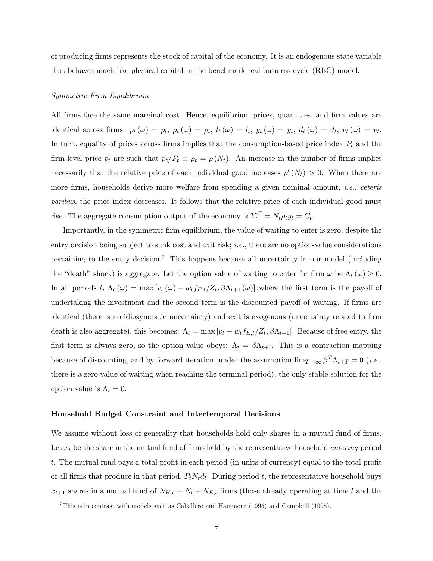of producing firms represents the stock of capital of the economy. It is an endogenous state variable that behaves much like physical capital in the benchmark real business cycle (RBC) model.

#### Symmetric Firm Equilibrium

All firms face the same marginal cost. Hence, equilibrium prices, quantities, and firm values are identical across firms:  $p_t(\omega) = p_t$ ,  $\rho_t(\omega) = \rho_t$ ,  $l_t(\omega) = l_t$ ,  $y_t(\omega) = y_t$ ,  $d_t(\omega) = d_t$ ,  $v_t(\omega) = v_t$ . In turn, equality of prices across firms implies that the consumption-based price index  $P_t$  and the firm-level price  $p_t$  are such that  $p_t/P_t \equiv \rho_t = \rho(N_t)$ . An increase in the number of firms implies necessarily that the relative price of each individual good increases  $\rho'(N_t) > 0$ . When there are more firms, households derive more welfare from spending a given nominal amount, *i.e.*, *ceteris* paribus, the price index decreases. It follows that the relative price of each individual good must rise. The aggregate consumption output of the economy is  $Y_t^C = N_t \rho_t y_t = C_t$ .

Importantly, in the symmetric firm equilibrium, the value of waiting to enter is zero, despite the entry decision being subject to sunk cost and exit risk; *i.e.*, there are no option-value considerations pertaining to the entry decision.<sup>7</sup> This happens because all uncertainty in our model (including the "death" shock) is aggregate. Let the option value of waiting to enter for firm  $\omega$  be  $\Lambda_t(\omega) \geq 0$ . In all periods t,  $\Lambda_t(\omega) = \max[v_t(\omega) - v_t f_{E,t}/Z_t, \beta \Lambda_{t+1}(\omega)]$ , where the first term is the payoff of undertaking the investment and the second term is the discounted payoff of waiting. If firms are identical (there is no idiosyncratic uncertainty) and exit is exogenous (uncertainty related to firm death is also aggregate), this becomes:  $\Lambda_t = \max[v_t - w_t f_{E,t}/Z_t, \beta \Lambda_{t+1}]$ . Because of free entry, the first term is always zero, so the option value obeys:  $\Lambda_t = \beta \Lambda_{t+1}$ . This is a contraction mapping because of discounting, and by forward iteration, under the assumption  $\lim_{T\to\infty} \beta^T \Lambda_{t+T} = 0$  (*i.e.*, there is a zero value of waiting when reaching the terminal period), the only stable solution for the option value is  $\Lambda_t = 0$ .

#### Household Budget Constraint and Intertemporal Decisions

We assume without loss of generality that households hold only shares in a mutual fund of firms. Let  $x_t$  be the share in the mutual fund of firms held by the representative household *entering* period t. The mutual fund pays a total profit in each period (in units of currency) equal to the total profit of all firms that produce in that period,  $P_tN_tdt$ . During period t, the representative household buys  $x_{t+1}$  shares in a mutual fund of  $N_{H,t} \equiv N_t + N_{E,t}$  firms (those already operating at time t and the

<sup>&</sup>lt;sup>7</sup>This is in contrast with models such as Caballero and Hammour (1995) and Campbell (1998).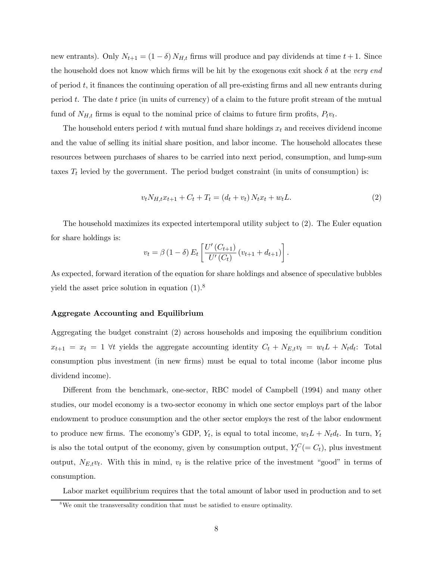new entrants). Only  $N_{t+1} = (1 - \delta) N_{H,t}$  firms will produce and pay dividends at time  $t + 1$ . Since the household does not know which firms will be hit by the exogenous exit shock  $\delta$  at the very end of period  $t$ , it finances the continuing operation of all pre-existing firms and all new entrants during period  $t$ . The date  $t$  price (in units of currency) of a claim to the future profit stream of the mutual fund of  $N_{H,t}$  firms is equal to the nominal price of claims to future firm profits,  $P_t v_t$ .

The household enters period t with mutual fund share holdings  $x_t$  and receives dividend income and the value of selling its initial share position, and labor income. The household allocates these resources between purchases of shares to be carried into next period, consumption, and lump-sum taxes  $T_t$  levied by the government. The period budget constraint (in units of consumption) is:

$$
v_t N_{H,t} x_{t+1} + C_t + T_t = (d_t + v_t) N_t x_t + w_t L.
$$
\n(2)

The household maximizes its expected intertemporal utility subject to (2). The Euler equation for share holdings is:

$$
v_t = \beta (1 - \delta) E_t \left[ \frac{U'(C_{t+1})}{U'(C_t)} (v_{t+1} + d_{t+1}) \right].
$$

As expected, forward iteration of the equation for share holdings and absence of speculative bubbles yield the asset price solution in equation  $(1)$ .<sup>8</sup>

#### Aggregate Accounting and Equilibrium

Aggregating the budget constraint (2) across households and imposing the equilibrium condition  $x_{t+1} = x_t = 1 \ \forall t$  yields the aggregate accounting identity  $C_t + N_{E,t}v_t = w_t L + N_t d_t$ : Total consumption plus investment (in new firms) must be equal to total income (labor income plus dividend income).

Different from the benchmark, one-sector, RBC model of Campbell (1994) and many other studies, our model economy is a two-sector economy in which one sector employs part of the labor endowment to produce consumption and the other sector employs the rest of the labor endowment to produce new firms. The economy's GDP,  $Y_t$ , is equal to total income,  $w_t L + N_t d_t$ . In turn,  $Y_t$ is also the total output of the economy, given by consumption output,  $Y_t^C (= C_t)$ , plus investment output,  $N_{E,t}v_t$ . With this in mind,  $v_t$  is the relative price of the investment "good" in terms of consumption.

Labor market equilibrium requires that the total amount of labor used in production and to set

<sup>&</sup>lt;sup>8</sup>We omit the transversality condition that must be satisfied to ensure optimality.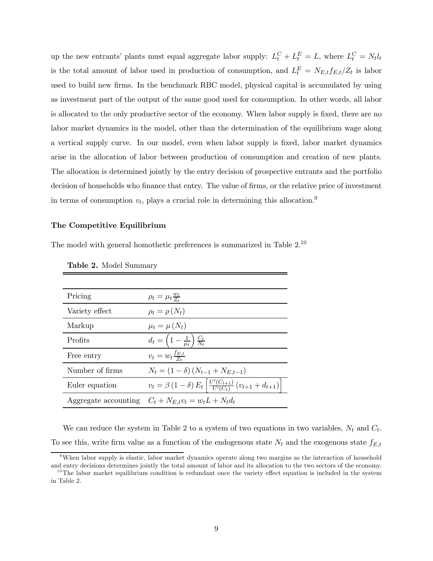up the new entrants' plants must equal aggregate labor supply:  $L_t^C + L_t^E = L$ , where  $L_t^C = N_t l_t$ is the total amount of labor used in production of consumption, and  $L_t^E = N_{E,t} f_{E,t}/Z_t$  is labor used to build new firms. In the benchmark RBC model, physical capital is accumulated by using as investment part of the output of the same good used for consumption. In other words, all labor is allocated to the only productive sector of the economy. When labor supply is fixed, there are no labor market dynamics in the model, other than the determination of the equilibrium wage along a vertical supply curve. In our model, even when labor supply is fixed, labor market dynamics arise in the allocation of labor between production of consumption and creation of new plants. The allocation is determined jointly by the entry decision of prospective entrants and the portfolio decision of households who finance that entry. The value of firms, or the relative price of investment in terms of consumption  $v_t$ , plays a crucial role in determining this allocation.<sup>9</sup>

## The Competitive Equilibrium

The model with general homothetic preferences is summarized in Table 2.10

| Pricing         | $\rho_t = \mu_t \frac{w_t}{Z_t}$                                                              |
|-----------------|-----------------------------------------------------------------------------------------------|
| Variety effect  | $\rho_t = \rho(N_t)$                                                                          |
| Markup          | $\mu_t = \mu(N_t)$                                                                            |
| Profits         | $d_t = \left(1 - \frac{1}{\mu_t}\right) \frac{C_t}{N_t}$                                      |
| Free entry      | $v_t = w_t \frac{f_{E,t}}{Z}$                                                                 |
| Number of firms | $N_t = (1 - \delta) (N_{t-1} + N_{E,t-1})$                                                    |
| Euler equation  | $v_t = \beta (1 - \delta) E_t \left[ \frac{U'(C_{t+1})}{U'(C_t)} (v_{t+1} + d_{t+1}) \right]$ |
|                 | Aggregate accounting $C_t + N_{E,t}v_t = w_t L + N_t d_t$                                     |

Table 2. Model Summary

We can reduce the system in Table 2 to a system of two equations in two variables,  $N_t$  and  $C_t$ . To see this, write firm value as a function of the endogenous state  $N_t$  and the exogenous state  $f_{E,t}$ 

<sup>9</sup>When labor supply is elastic, labor market dynamics operate along two margins as the interaction of household and entry decisions determines jointly the total amount of labor and its allocation to the two sectors of the economy.

 $10$ The labor market equilibrium condition is redundant once the variety effect equation is included in the system in Table 2.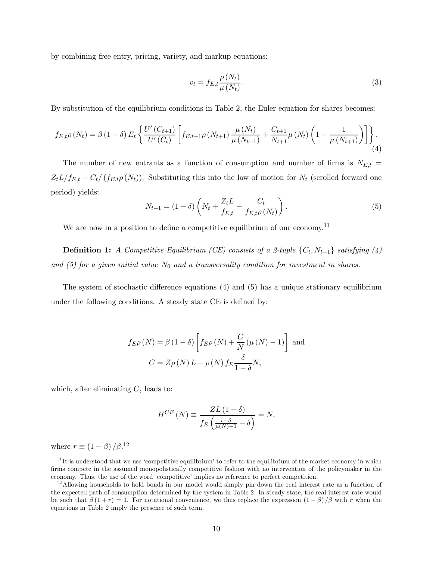by combining free entry, pricing, variety, and markup equations:

$$
v_t = f_{E,t} \frac{\rho(N_t)}{\mu(N_t)}.
$$
\n(3)

By substitution of the equilibrium conditions in Table 2, the Euler equation for shares becomes:

$$
f_{E,t}\rho\left(N_{t}\right) = \beta\left(1-\delta\right)E_{t}\left\{\frac{U'\left(C_{t+1}\right)}{U'\left(C_{t}\right)}\left[f_{E,t+1}\rho\left(N_{t+1}\right)\frac{\mu\left(N_{t}\right)}{\mu\left(N_{t+1}\right)} + \frac{C_{t+1}}{N_{t+1}}\mu\left(N_{t}\right)\left(1-\frac{1}{\mu\left(N_{t+1}\right)}\right)\right]\right\}.\tag{4}
$$

The number of new entrants as a function of consumption and number of firms is  $N_{E,t}$  =  $Z_t L/f_{E,t} - C_t/(f_{E,t}\rho(N_t))$ . Substituting this into the law of motion for  $N_t$  (scrolled forward one period) yields:

$$
N_{t+1} = (1 - \delta) \left( N_t + \frac{Z_t L}{f_{E,t}} - \frac{C_t}{f_{E,t} \rho(N_t)} \right).
$$
 (5)

We are now in a position to define a competitive equilibrium of our economy.<sup>11</sup>

**Definition 1:** A Competitive Equilibrium (CE) consists of a 2-tuple  $\{C_t, N_{t+1}\}$  satisfying (4) and (5) for a given initial value  $N_0$  and a transversality condition for investment in shares.

The system of stochastic difference equations (4) and (5) has a unique stationary equilibrium under the following conditions. A steady state CE is defined by:

$$
f_{E}\rho(N) = \beta (1 - \delta) \left[ f_{E}\rho(N) + \frac{C}{N} (\mu(N) - 1) \right]
$$
 and  

$$
C = Z\rho(N) L - \rho(N) f_E \frac{\delta}{1 - \delta} N,
$$

which, after eliminating  $C$ , leads to:

$$
H^{CE} (N) \equiv \frac{ZL (1 - \delta)}{f_E \left( \frac{r + \delta}{\mu(N) - 1} + \delta \right)} = N,
$$

where  $r \equiv (1 - \beta) / \beta$ .<sup>12</sup>

 $11$ It is understood that we use 'competitive equilibrium' to refer to the equilibrium of the market economy in which firms compete in the assumed monopolistically competitive fashion with no intervention of the policymaker in the economy. Thus, the use of the word 'competitive' implies no reference to perfect competition.

 $12$ Allowing households to hold bonds in our model would simply pin down the real interest rate as a function of the expected path of consumption determined by the system in Table 2. In steady state, the real interest rate would be such that  $\beta(1+r)=1$ . For notational convenience, we thus replace the expression  $(1 - \beta)/\beta$  with r when the equations in Table 2 imply the presence of such term.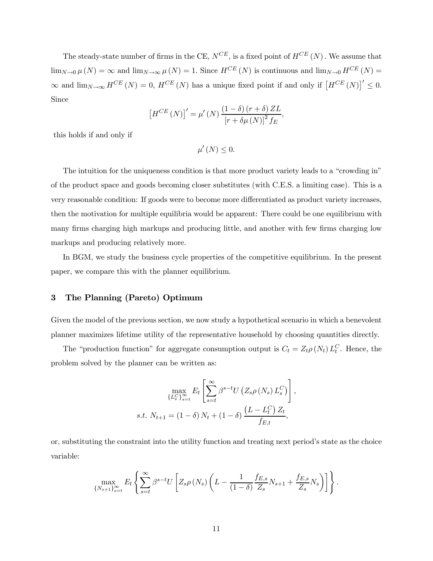The steady-state number of firms in the CE,  $N^{CE}$ , is a fixed point of  $H^{CE}(N)$ . We assume that  $\lim_{N\to 0}\mu(N) = \infty$  and  $\lim_{N\to\infty}\mu(N)=1$ . Since  $H^{CE}(N)$  is continuous and  $\lim_{N\to 0} H^{CE}(N) =$  $\infty$  and  $\lim_{N\to\infty} H^{CE}(N) = 0$ ,  $H^{CE}(N)$  has a unique fixed point if and only if  $\left[H^{CE}(N)\right]'\leq 0$ . Since

$$
\left[H^{CE}\left(N\right)\right]' = \mu'\left(N\right) \frac{\left(1-\delta\right)\left(r+\delta\right) Z L}{\left[r+\delta\mu\left(N\right)\right]^2 f_E},
$$

this holds if and only if

 $\mu'(N) \leq 0.$ 

The intuition for the uniqueness condition is that more product variety leads to a "crowding in" of the product space and goods becoming closer substitutes (with C.E.S. a limiting case). This is a very reasonable condition: If goods were to become more differentiated as product variety increases, then the motivation for multiple equilibria would be apparent: There could be one equilibrium with many firms charging high markups and producing little, and another with few firms charging low markups and producing relatively more.

In BGM, we study the business cycle properties of the competitive equilibrium. In the present paper, we compare this with the planner equilibrium.

## 3 The Planning (Pareto) Optimum

Given the model of the previous section, we now study a hypothetical scenario in which a benevolent planner maximizes lifetime utility of the representative household by choosing quantities directly.

The "production function" for aggregate consumption output is  $C_t = Z_t \rho(N_t) L_t^C$ . Hence, the problem solved by the planner can be written as:

$$
\max_{\{L_s^C\}_{s=t}^{\infty}} E_t \left[ \sum_{s=t}^{\infty} \beta^{s-t} U \left( Z_s \rho \left( N_s \right) L_s^C \right) \right],
$$
  
s.t.  $N_{t+1} = (1 - \delta) N_t + (1 - \delta) \frac{\left( L - L_t^C \right) Z_t}{f_{E,t}},$ 

or, substituting the constraint into the utility function and treating next period's state as the choice variable:

$$
\max_{\{N_{s+1}\}_{s=t}^{\infty}} E_t \left\{ \sum_{s=t}^{\infty} \beta^{s-t} U \left[ Z_s \rho \left( N_s \right) \left( L - \frac{1}{(1-\delta)} \frac{f_{E,s}}{Z_s} N_{s+1} + \frac{f_{E,s}}{Z_s} N_s \right) \right] \right\}.
$$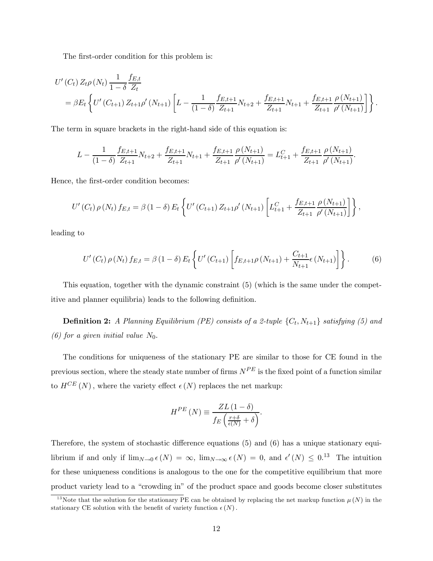The first-order condition for this problem is:

$$
U'(C_t) Z_t \rho(N_t) \frac{1}{1-\delta} \frac{f_{E,t}}{Z_t}
$$
  
=  $\beta E_t \left\{ U'(C_{t+1}) Z_{t+1} \rho'(N_{t+1}) \left[ L - \frac{1}{(1-\delta)} \frac{f_{E,t+1}}{Z_{t+1}} N_{t+2} + \frac{f_{E,t+1}}{Z_{t+1}} N_{t+1} + \frac{f_{E,t+1}}{Z_{t+1}} \frac{\rho(N_{t+1})}{\rho'(N_{t+1})} \right] \right\}.$ 

The term in square brackets in the right-hand side of this equation is:

$$
L - \frac{1}{(1-\delta)} \frac{f_{E,t+1}}{Z_{t+1}} N_{t+2} + \frac{f_{E,t+1}}{Z_{t+1}} N_{t+1} + \frac{f_{E,t+1}}{Z_{t+1}} \frac{\rho(N_{t+1})}{\rho'(N_{t+1})} = L_{t+1}^C + \frac{f_{E,t+1}}{Z_{t+1}} \frac{\rho(N_{t+1})}{\rho'(N_{t+1})}.
$$

Hence, the first-order condition becomes:

$$
U'(C_t) \rho(N_t) f_{E,t} = \beta (1 - \delta) E_t \left\{ U'(C_{t+1}) Z_{t+1} \rho'(N_{t+1}) \left[ L_{t+1}^C + \frac{f_{E,t+1}}{Z_{t+1}} \frac{\rho(N_{t+1})}{\rho'(N_{t+1})} \right] \right\},
$$

leading to

$$
U'(C_t) \rho(N_t) f_{E,t} = \beta (1 - \delta) E_t \left\{ U'(C_{t+1}) \left[ f_{E,t+1} \rho(N_{t+1}) + \frac{C_{t+1}}{N_{t+1}} \epsilon(N_{t+1}) \right] \right\}.
$$
 (6)

This equation, together with the dynamic constraint (5) (which is the same under the competitive and planner equilibria) leads to the following definition.

**Definition 2:** A Planning Equilibrium (PE) consists of a 2-tuple  $\{C_t, N_{t+1}\}$  satisfying (5) and (6) for a given initial value  $N_0$ .

The conditions for uniqueness of the stationary PE are similar to those for CE found in the previous section, where the steady state number of firms  $N^{PE}$  is the fixed point of a function similar to  $H^{CE}(N)$ , where the variety effect  $\epsilon(N)$  replaces the net markup:

$$
H^{PE} (N) \equiv \frac{ZL (1 - \delta)}{f_E \left(\frac{r + \delta}{\epsilon(N)} + \delta\right)}.
$$

Therefore, the system of stochastic difference equations (5) and (6) has a unique stationary equilibrium if and only if  $\lim_{N\to 0} \epsilon(N) = \infty$ ,  $\lim_{N\to\infty} \epsilon(N) = 0$ , and  $\epsilon'(N) \leq 0.13$  The intuition for these uniqueness conditions is analogous to the one for the competitive equilibrium that more product variety lead to a "crowding in" of the product space and goods become closer substitutes

<sup>&</sup>lt;sup>13</sup>Note that the solution for the stationary PE can be obtained by replacing the net markup function  $\mu(N)$  in the stationary CE solution with the benefit of variety function  $\epsilon(N)$ .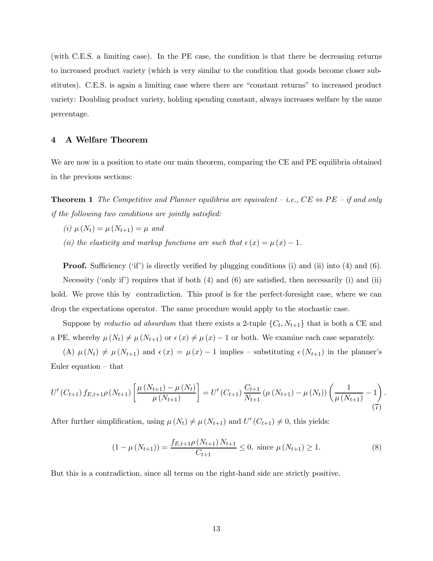(with C.E.S. a limiting case). In the PE case, the condition is that there be decreasing returns to increased product variety (which is very similar to the condition that goods become closer substitutes). C.E.S. is again a limiting case where there are "constant returns" to increased product variety: Doubling product variety, holding spending constant, always increases welfare by the same percentage.

## 4 A Welfare Theorem

We are now in a position to state our main theorem, comparing the CE and PE equilibria obtained in the previous sections:

**Theorem 1** The Competitive and Planner equilibria are equivalent – i.e.,  $CE \Leftrightarrow PE$  – if and only if the following two conditions are jointly satisfied:

- (i)  $\mu(N_t) = \mu(N_{t+1}) = \mu$  and
- (ii) the elasticity and markup functions are such that  $\epsilon(x) = \mu(x) 1$ .

**Proof.** Sufficiency ('if') is directly verified by plugging conditions (i) and (ii) into (4) and (6). Necessity ('only if') requires that if both  $(4)$  and  $(6)$  are satisfied, then necessarily (i) and (ii) hold. We prove this by contradiction. This proof is for the perfect-foresight case, where we can drop the expectations operator. The same procedure would apply to the stochastic case.

Suppose by *reductio ad absurdum* that there exists a 2-tuple  $\{C_t, N_{t+1}\}\$  that is both a CE and a PE, whereby  $\mu(N_t) \neq \mu(N_{t+1})$  or  $\epsilon(x) \neq \mu(x) - 1$  or both. We examine each case separately.

(A)  $\mu(N_t) \neq \mu(N_{t+1})$  and  $\epsilon(x) = \mu(x) - 1$  implies – substituting  $\epsilon(N_{t+1})$  in the planner's Euler equation — that

$$
U'(C_{t+1}) f_{E,t+1} \rho(N_{t+1}) \left[ \frac{\mu(N_{t+1}) - \mu(N_t)}{\mu(N_{t+1})} \right] = U'(C_{t+1}) \frac{C_{t+1}}{N_{t+1}} (\mu(N_{t+1}) - \mu(N_t)) \left( \frac{1}{\mu(N_{t+1})} - 1 \right).
$$
\n(7)

After further simplification, using  $\mu(N_t) \neq \mu(N_{t+1})$  and  $U'(C_{t+1}) \neq 0$ , this yields:

$$
(1 - \mu(N_{t+1})) = \frac{f_{E,t+1}\rho(N_{t+1})N_{t+1}}{C_{t+1}} \le 0, \text{ since } \mu(N_{t+1}) \ge 1.
$$
 (8)

But this is a contradiction, since all terms on the right-hand side are strictly positive.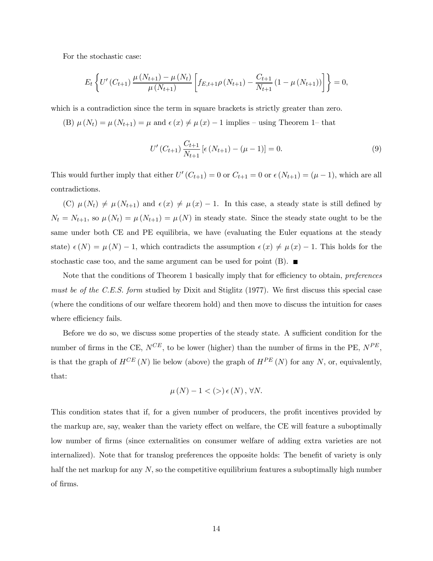For the stochastic case:

$$
E_t\left\{U'\left(C_{t+1}\right)\frac{\mu\left(N_{t+1}\right)-\mu\left(N_{t}\right)}{\mu\left(N_{t+1}\right)}\left[f_{E,t+1}\rho\left(N_{t+1}\right)-\frac{C_{t+1}}{N_{t+1}}\left(1-\mu\left(N_{t+1}\right)\right)\right]\right\}=0,
$$

which is a contradiction since the term in square brackets is strictly greater than zero.

(B)  $\mu(N_t) = \mu(N_{t+1}) = \mu$  and  $\epsilon(x) \neq \mu(x) - 1$  implies – using Theorem 1– that

$$
U'(C_{t+1})\frac{C_{t+1}}{N_{t+1}}\left[\epsilon\left(N_{t+1}\right)-\left(\mu-1\right)\right]=0.\tag{9}
$$

This would further imply that either  $U'(C_{t+1})=0$  or  $C_{t+1}=0$  or  $\epsilon(N_{t+1})=(\mu-1)$ , which are all contradictions.

(C)  $\mu(N_t) \neq \mu(N_{t+1})$  and  $\epsilon(x) \neq \mu(x) - 1$ . In this case, a steady state is still defined by  $N_t = N_{t+1}$ , so  $\mu(N_t) = \mu(N_{t+1}) = \mu(N)$  in steady state. Since the steady state ought to be the same under both CE and PE equilibria, we have (evaluating the Euler equations at the steady state)  $\epsilon(N) = \mu(N) - 1$ , which contradicts the assumption  $\epsilon(x) \neq \mu(x) - 1$ . This holds for the stochastic case too, and the same argument can be used for point  $(B)$ .

Note that the conditions of Theorem 1 basically imply that for efficiency to obtain, preferences must be of the C.E.S. form studied by Dixit and Stiglitz (1977). We first discuss this special case (where the conditions of our welfare theorem hold) and then move to discuss the intuition for cases where efficiency fails.

Before we do so, we discuss some properties of the steady state. A sufficient condition for the number of firms in the CE,  $N^{CE}$ , to be lower (higher) than the number of firms in the PE,  $N^{PE}$ , is that the graph of  $H^{CE}(N)$  lie below (above) the graph of  $H^{PE}(N)$  for any N, or, equivalently, that:

$$
\mu\left(N\right)-1\lt\left(\gt\right)\epsilon\left(N\right),\,\forall N.
$$

This condition states that if, for a given number of producers, the profit incentives provided by the markup are, say, weaker than the variety effect on welfare, the CE will feature a suboptimally low number of firms (since externalities on consumer welfare of adding extra varieties are not internalized). Note that for translog preferences the opposite holds: The benefit of variety is only half the net markup for any  $N$ , so the competitive equilibrium features a suboptimally high number of firms.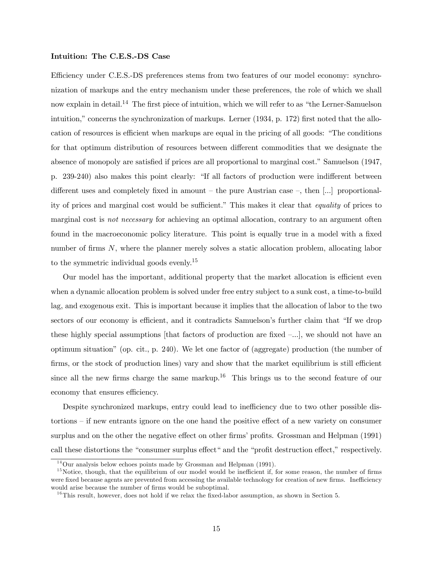## Intuition: The C.E.S.-DS Case

Efficiency under C.E.S.-DS preferences stems from two features of our model economy: synchronization of markups and the entry mechanism under these preferences, the role of which we shall now explain in detail.<sup>14</sup> The first piece of intuition, which we will refer to as "the Lerner-Samuelson intuition," concerns the synchronization of markups. Lerner (1934, p. 172) first noted that the allocation of resources is efficient when markups are equal in the pricing of all goods: "The conditions for that optimum distribution of resources between different commodities that we designate the absence of monopoly are satisfied if prices are all proportional to marginal cost." Samuelson (1947, p. 239-240) also makes this point clearly: "If all factors of production were indifferent between different uses and completely fixed in amount — the pure Austrian case —, then [...] proportionality of prices and marginal cost would be sufficient." This makes it clear that equality of prices to marginal cost is *not necessary* for achieving an optimal allocation, contrary to an argument often found in the macroeconomic policy literature. This point is equally true in a model with a fixed number of firms N, where the planner merely solves a static allocation problem, allocating labor to the symmetric individual goods evenly.15

Our model has the important, additional property that the market allocation is efficient even when a dynamic allocation problem is solved under free entry subject to a sunk cost, a time-to-build lag, and exogenous exit. This is important because it implies that the allocation of labor to the two sectors of our economy is efficient, and it contradicts Samuelson's further claim that "If we drop these highly special assumptions [that factors of production are fixed  $-\ldots$ ], we should not have an optimum situation" (op. cit., p. 240). We let one factor of (aggregate) production (the number of firms, or the stock of production lines) vary and show that the market equilibrium is still efficient since all the new firms charge the same markup.<sup>16</sup> This brings us to the second feature of our economy that ensures efficiency.

Despite synchronized markups, entry could lead to inefficiency due to two other possible distortions — if new entrants ignore on the one hand the positive effect of a new variety on consumer surplus and on the other the negative effect on other firms' profits. Grossman and Helpman (1991) call these distortions the "consumer surplus effect" and the "profit destruction effect," respectively.

 $14$ Our analysis below echoes points made by Grossman and Helpman (1991).

 $15$ Notice, though, that the equilibrium of our model would be inefficient if, for some reason, the number of firms were fixed because agents are prevented from accessing the available technology for creation of new firms. Inefficiency would arise because the number of firms would be suboptimal.

 $16$ This result, however, does not hold if we relax the fixed-labor assumption, as shown in Section 5.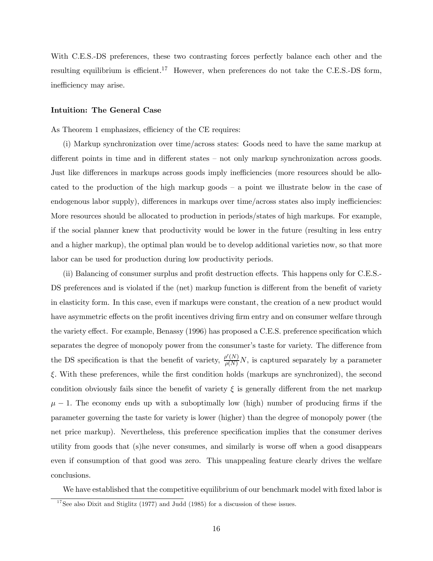With C.E.S.-DS preferences, these two contrasting forces perfectly balance each other and the resulting equilibrium is efficient.<sup>17</sup> However, when preferences do not take the C.E.S.-DS form, inefficiency may arise.

#### Intuition: The General Case

As Theorem 1 emphasizes, efficiency of the CE requires:

(i) Markup synchronization over time/across states: Goods need to have the same markup at different points in time and in different states — not only markup synchronization across goods. Just like differences in markups across goods imply inefficiencies (more resources should be allocated to the production of the high markup goods — a point we illustrate below in the case of endogenous labor supply), differences in markups over time/across states also imply inefficiencies: More resources should be allocated to production in periods/states of high markups. For example, if the social planner knew that productivity would be lower in the future (resulting in less entry and a higher markup), the optimal plan would be to develop additional varieties now, so that more labor can be used for production during low productivity periods.

(ii) Balancing of consumer surplus and profit destruction effects. This happens only for C.E.S.- DS preferences and is violated if the (net) markup function is different from the benefit of variety in elasticity form. In this case, even if markups were constant, the creation of a new product would have asymmetric effects on the profit incentives driving firm entry and on consumer welfare through the variety effect. For example, Benassy (1996) has proposed a C.E.S. preference specification which separates the degree of monopoly power from the consumer's taste for variety. The difference from the DS specification is that the benefit of variety,  $\frac{\rho'(N)}{\rho(N)}N$ , is captured separately by a parameter ξ. With these preferences, while the first condition holds (markups are synchronized), the second condition obviously fails since the benefit of variety  $\xi$  is generally different from the net markup  $\mu - 1$ . The economy ends up with a suboptimally low (high) number of producing firms if the parameter governing the taste for variety is lower (higher) than the degree of monopoly power (the net price markup). Nevertheless, this preference specification implies that the consumer derives utility from goods that (s)he never consumes, and similarly is worse off when a good disappears even if consumption of that good was zero. This unappealing feature clearly drives the welfare conclusions.

We have established that the competitive equilibrium of our benchmark model with fixed labor is

 $17$ See also Dixit and Stiglitz (1977) and Judd (1985) for a discussion of these issues.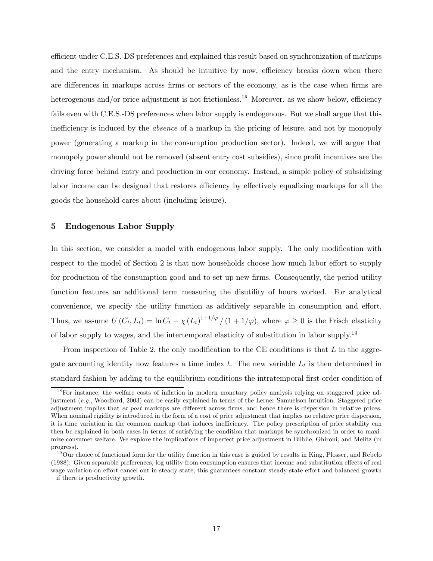efficient under C.E.S.-DS preferences and explained this result based on synchronization of markups and the entry mechanism. As should be intuitive by now, efficiency breaks down when there are differences in markups across firms or sectors of the economy, as is the case when firms are heterogenous and/or price adjustment is not frictionless.<sup>18</sup> Moreover, as we show below, efficiency fails even with C.E.S.-DS preferences when labor supply is endogenous. But we shall argue that this inefficiency is induced by the absence of a markup in the pricing of leisure, and not by monopoly power (generating a markup in the consumption production sector). Indeed, we will argue that monopoly power should not be removed (absent entry cost subsidies), since profit incentives are the driving force behind entry and production in our economy. Instead, a simple policy of subsidizing labor income can be designed that restores efficiency by effectively equalizing markups for all the goods the household cares about (including leisure).

## 5 Endogenous Labor Supply

In this section, we consider a model with endogenous labor supply. The only modification with respect to the model of Section 2 is that now households choose how much labor effort to supply for production of the consumption good and to set up new firms. Consequently, the period utility function features an additional term measuring the disutility of hours worked. For analytical convenience, we specify the utility function as additively separable in consumption and effort. Thus, we assume  $U(C_t, L_t) = \ln C_t - \chi(L_t)^{1+1/\varphi}/(1+1/\varphi)$ , where  $\varphi \ge 0$  is the Frisch elasticity of labor supply to wages, and the intertemporal elasticity of substitution in labor supply.19

From inspection of Table 2, the only modification to the CE conditions is that  $L$  in the aggregate accounting identity now features a time index  $t$ . The new variable  $L_t$  is then determined in standard fashion by adding to the equilibrium conditions the intratemporal first-order condition of

 $18$  For instance, the welfare costs of inflation in modern monetary policy analysis relying on staggered price adjustment (e.g., Woodford, 2003) can be easily explained in terms of the Lerner-Samuelson intuition. Staggered price adjustment implies that ex post markups are different across firms, and hence there is dispersion in relative prices. When nominal rigidity is introduced in the form of a cost of price adjustment that implies no relative price dispersion, it is time variation in the common markup that induces inefficiency. The policy prescription of price stability can then be explained in both cases in terms of satisfying the condition that markups be synchronized in order to maximize consumer welfare. We explore the implications of imperfect price adjustment in Bilbiie, Ghironi, and Melitz (in progress).

 $19$ Our choice of functional form for the utility function in this case is guided by results in King, Plosser, and Rebelo (1988): Given separable preferences, log utility from consumption ensures that income and substitution effects of real wage variation on effort cancel out in steady state; this guarantees constant steady-state effort and balanced growth — if there is productivity growth.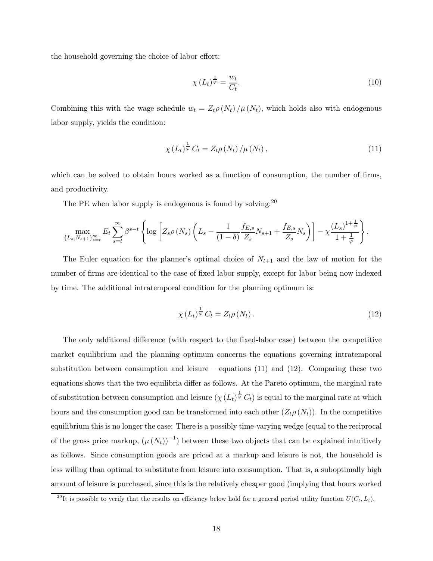the household governing the choice of labor effort:

$$
\chi\left(L_{t}\right)^{\frac{1}{\varphi}} = \frac{w_{t}}{C_{t}}.\tag{10}
$$

Combining this with the wage schedule  $w_t = Z_t \rho(N_t) / \mu(N_t)$ , which holds also with endogenous labor supply, yields the condition:

$$
\chi(L_t)^{\frac{1}{\varphi}} C_t = Z_t \rho(N_t) / \mu(N_t), \qquad (11)
$$

which can be solved to obtain hours worked as a function of consumption, the number of firms, and productivity.

The PE when labor supply is endogenous is found by solving:  $20$ 

$$
\max_{\{L_s, N_{s+1}\}_{s=t}} E_t \sum_{s=t}^{\infty} \beta^{s-t} \left\{ \log \left[ Z_s \rho\left(N_s\right) \left( L_s - \frac{1}{(1-\delta)} \frac{f_{E,s}}{Z_s} N_{s+1} + \frac{f_{E,s}}{Z_s} N_s \right) \right] - \chi \frac{\left(L_s\right)^{1+\frac{1}{\varphi}}}{1+\frac{1}{\varphi}} \right\}.
$$

The Euler equation for the planner's optimal choice of  $N_{t+1}$  and the law of motion for the number of firms are identical to the case of fixed labor supply, except for labor being now indexed by time. The additional intratemporal condition for the planning optimum is:

$$
\chi\left(L_{t}\right)^{\frac{1}{\varphi}}C_{t}=Z_{t}\rho\left(N_{t}\right). \tag{12}
$$

The only additional difference (with respect to the fixed-labor case) between the competitive market equilibrium and the planning optimum concerns the equations governing intratemporal substitution between consumption and leisure – equations  $(11)$  and  $(12)$ . Comparing these two equations shows that the two equilibria differ as follows. At the Pareto optimum, the marginal rate of substitution between consumption and leisure  $(\chi(L_t)^{\frac{1}{\varphi}} C_t)$  is equal to the marginal rate at which hours and the consumption good can be transformed into each other  $(Z_t \rho(N_t))$ . In the competitive equilibrium this is no longer the case: There is a possibly time-varying wedge (equal to the reciprocal of the gross price markup,  $(\mu(N_t))^{-1}$  between these two objects that can be explained intuitively as follows. Since consumption goods are priced at a markup and leisure is not, the household is less willing than optimal to substitute from leisure into consumption. That is, a suboptimally high amount of leisure is purchased, since this is the relatively cheaper good (implying that hours worked

<sup>&</sup>lt;sup>20</sup>It is possible to verify that the results on efficiency below hold for a general period utility function  $U(C_t, L_t)$ .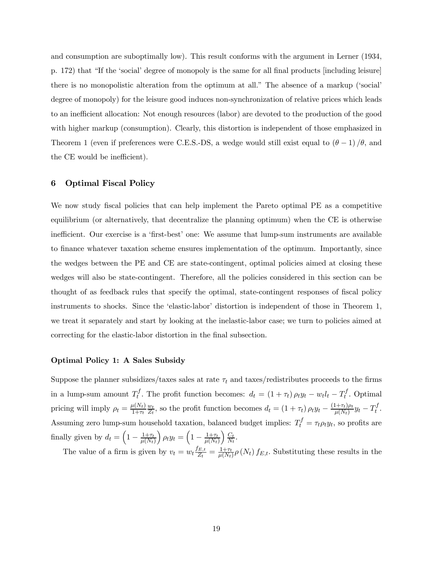and consumption are suboptimally low). This result conforms with the argument in Lerner (1934, p. 172) that "If the 'social' degree of monopoly is the same for all final products [including leisure] there is no monopolistic alteration from the optimum at all." The absence of a markup ('social' degree of monopoly) for the leisure good induces non-synchronization of relative prices which leads to an inefficient allocation: Not enough resources (labor) are devoted to the production of the good with higher markup (consumption). Clearly, this distortion is independent of those emphasized in Theorem 1 (even if preferences were C.E.S.-DS, a wedge would still exist equal to  $(\theta - 1)/\theta$ , and the CE would be inefficient).

## 6 Optimal Fiscal Policy

We now study fiscal policies that can help implement the Pareto optimal PE as a competitive equilibrium (or alternatively, that decentralize the planning optimum) when the CE is otherwise inefficient. Our exercise is a 'first-best' one: We assume that lump-sum instruments are available to finance whatever taxation scheme ensures implementation of the optimum. Importantly, since the wedges between the PE and CE are state-contingent, optimal policies aimed at closing these wedges will also be state-contingent. Therefore, all the policies considered in this section can be thought of as feedback rules that specify the optimal, state-contingent responses of fiscal policy instruments to shocks. Since the 'elastic-labor' distortion is independent of those in Theorem 1, we treat it separately and start by looking at the inelastic-labor case; we turn to policies aimed at correcting for the elastic-labor distortion in the final subsection.

#### Optimal Policy 1: A Sales Subsidy

Suppose the planner subsidizes/taxes sales at rate  $\tau_t$  and taxes/redistributes proceeds to the firms in a lump-sum amount  $T_t^f$ . The profit function becomes:  $d_t = (1 + \tau_t) \rho_t y_t - w_t l_t - T_t^f$ . Optimal pricing will imply  $\rho_t = \frac{\mu(N_t)}{1 + \tau_t}$  $\omega_t$  $\frac{w_t}{Z_t}$ , so the profit function becomes  $d_t = (1 + \tau_t)\rho_t y_t - \frac{(1 + \tau_t)\rho_t}{\mu(N_t)} y_t - T_t^f$ . Assuming zero lump-sum household taxation, balanced budget implies:  $T_t^f = \tau_t \rho_t y_t$ , so profits are finally given by  $d_t = \left(1 - \frac{1+\tau_t}{\mu(N_t)}\right)$  $\int \rho_t y_t = \left(1 - \frac{1+\tau_t}{\mu(N_t)}\right)$  $\sum_{t}$  $\frac{C_t}{N_t}$ .

The value of a firm is given by  $v_t = w_t \frac{f_{E,t}}{Z_t} = \frac{1+\tau_t}{\mu(N_t)} \rho(N_t) f_{E,t}$ . Substituting these results in the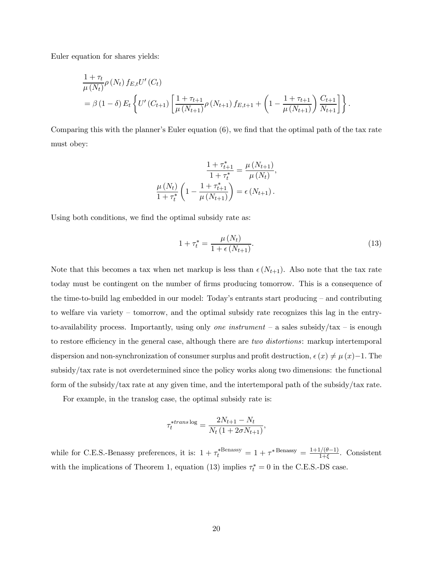Euler equation for shares yields:

$$
\frac{1+\tau_t}{\mu(N_t)} \rho(N_t) f_{E,t} U'(C_t)
$$
\n
$$
= \beta (1-\delta) E_t \left\{ U'(C_{t+1}) \left[ \frac{1+\tau_{t+1}}{\mu(N_{t+1})} \rho(N_{t+1}) f_{E,t+1} + \left( 1 - \frac{1+\tau_{t+1}}{\mu(N_{t+1})} \right) \frac{C_{t+1}}{N_{t+1}} \right] \right\}.
$$

Comparing this with the planner's Euler equation (6), we find that the optimal path of the tax rate must obey:

$$
\frac{1 + \tau_{t+1}^*}{1 + \tau_t^*} = \frac{\mu(N_{t+1})}{\mu(N_t)},
$$

$$
\frac{\mu(N_t)}{1 + \tau_t^*} \left(1 - \frac{1 + \tau_{t+1}^*}{\mu(N_{t+1})}\right) = \epsilon(N_{t+1}).
$$

Using both conditions, we find the optimal subsidy rate as:

$$
1 + \tau_t^* = \frac{\mu(N_t)}{1 + \epsilon(N_{t+1})}.
$$
\n(13)

Note that this becomes a tax when net markup is less than  $\epsilon(N_{t+1})$ . Also note that the tax rate today must be contingent on the number of firms producing tomorrow. This is a consequence of the time-to-build lag embedded in our model: Today's entrants start producing — and contributing to welfare via variety — tomorrow, and the optimal subsidy rate recognizes this lag in the entryto-availability process. Importantly, using only one instrument – a sales subsidy/tax – is enough to restore efficiency in the general case, although there are *two distortions*: markup intertemporal dispersion and non-synchronization of consumer surplus and profit destruction,  $\epsilon(x) \neq \mu(x)-1$ . The subsidy/tax rate is not overdetermined since the policy works along two dimensions: the functional form of the subsidy/tax rate at any given time, and the intertemporal path of the subsidy/tax rate.

For example, in the translog case, the optimal subsidy rate is:

$$
\tau_t^{*trans \log} = \frac{2N_{t+1} - N_t}{N_t (1 + 2\sigma N_{t+1})},
$$

while for C.E.S.-Benassy preferences, it is:  $1 + \tau_t^{* \text{Benassy}} = 1 + \tau^{* \text{Benassy}} = \frac{1 + 1/(\theta - 1)}{1 + \xi}$ . Consistent with the implications of Theorem 1, equation (13) implies  $\tau_t^* = 0$  in the C.E.S.-DS case.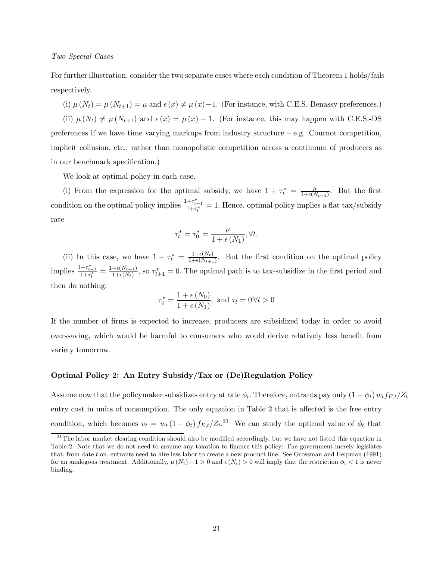Two Special Cases

For further illustration, consider the two separate cases where each condition of Theorem 1 holds/fails respectively.

(i)  $\mu(N_t) = \mu(N_{t+1}) = \mu$  and  $\epsilon(x) \neq \mu(x) - 1$ . (For instance, with C.E.S.-Benassy preferences.) (ii)  $\mu(N_t) \neq \mu(N_{t+1})$  and  $\epsilon(x) = \mu(x) - 1$ . (For instance, this may happen with C.E.S.-DS preferences if we have time varying markups from industry structure  $-$  e.g. Cournot competition, implicit collusion, etc., rather than monopolistic competition across a continuum of producers as in our benchmark specification.)

We look at optimal policy in each case.

(i) From the expression for the optimal subsidy, we have  $1 + \tau_t^* = \frac{\mu}{1 + \epsilon(N_{t+1})}$ . But the first condition on the optimal policy implies  $\frac{1+\tau_{t+1}^*}{1+\tau_t^*} = 1$ . Hence, optimal policy implies a flat tax/subsidy rate

$$
\tau^*_t = \tau^*_0 = \frac{\mu}{1+\epsilon\left(N_1\right)}, \forall t.
$$

(ii) In this case, we have  $1 + \tau_t^* = \frac{1+\epsilon(N_t)}{1+\epsilon(N_{t+1})}$ . But the first condition on the optimal policy implies  $\frac{1+\tau_{t+1}^*}{1+\tau_t^*} = \frac{1+\epsilon(N_{t+1})}{1+\epsilon(N_t)}$ , so  $\tau_{t+1}^* = 0$ . The optimal path is to tax-subsidize in the first period and then do nothing:

$$
\tau_0^* = \frac{1 + \epsilon(N_0)}{1 + \epsilon(N_1)}, \text{ and } \tau_t = 0 \,\forall t > 0
$$

If the number of firms is expected to increase, producers are subsidized today in order to avoid over-saving, which would be harmful to consumers who would derive relatively less benefit from variety tomorrow.

#### Optimal Policy 2: An Entry Subsidy/Tax or (De)Regulation Policy

Assume now that the policymaker subsidizes entry at rate  $\phi_t$ . Therefore, entrants pay only  $(1 - \phi_t) w_t f_{E,t}/Z_t$ entry cost in units of consumption. The only equation in Table 2 that is affected is the free entry condition, which becomes  $v_t = w_t (1 - \phi_t) f_{E,t} / Z_t$ <sup>21</sup> We can study the optimal value of  $\phi_t$  that

 $21$ The labor market clearing condition should also be modified accordingly, but we have not listed this equation in Table 2. Note that we do not need to assume any taxation to finance this policy: The government merely legislates that, from date t on, entrants need to hire less labor to create a new product line. See Grossman and Helpman (1991) for an analogous treatment. Additionally,  $\mu(N_t)-1>0$  and  $\epsilon(N_t)>0$  will imply that the restriction  $\phi_t<1$  is never binding.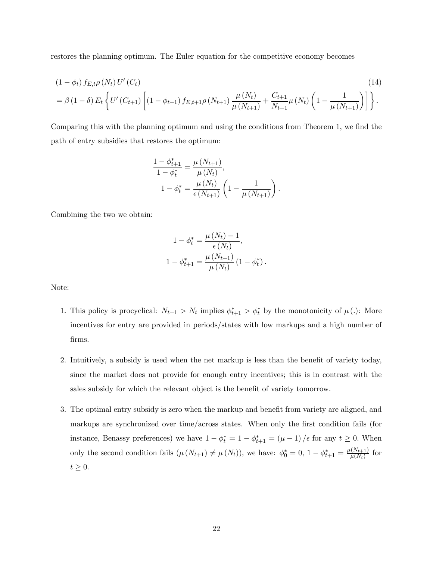restores the planning optimum. The Euler equation for the competitive economy becomes

$$
(1 - \phi_t) f_{E,t} \rho(N_t) U'(C_t)
$$
\n
$$
= \beta (1 - \delta) E_t \left\{ U'(C_{t+1}) \left[ (1 - \phi_{t+1}) f_{E,t+1} \rho(N_{t+1}) \frac{\mu(N_t)}{\mu(N_{t+1})} + \frac{C_{t+1}}{N_{t+1}} \mu(N_t) \left( 1 - \frac{1}{\mu(N_{t+1})} \right) \right] \right\}.
$$
\n(14)

Comparing this with the planning optimum and using the conditions from Theorem 1, we find the path of entry subsidies that restores the optimum:

$$
\frac{1 - \phi_{t+1}^*}{1 - \phi_t^*} = \frac{\mu(N_{t+1})}{\mu(N_t)},
$$
  

$$
1 - \phi_t^* = \frac{\mu(N_t)}{\epsilon(N_{t+1})} \left(1 - \frac{1}{\mu(N_{t+1})}\right).
$$

Combining the two we obtain:

$$
1 - \phi_t^* = \frac{\mu(N_t) - 1}{\epsilon(N_t)},
$$
  

$$
1 - \phi_{t+1}^* = \frac{\mu(N_{t+1})}{\mu(N_t)} (1 - \phi_t^*).
$$

Note:

- 1. This policy is procyclical:  $N_{t+1} > N_t$  implies  $\phi_{t+1}^* > \phi_t^*$  by the monotonicity of  $\mu(.)$ : More incentives for entry are provided in periods/states with low markups and a high number of firms.
- 2. Intuitively, a subsidy is used when the net markup is less than the benefit of variety today, since the market does not provide for enough entry incentives; this is in contrast with the sales subsidy for which the relevant object is the benefit of variety tomorrow.
- 3. The optimal entry subsidy is zero when the markup and benefit from variety are aligned, and markups are synchronized over time/across states. When only the first condition fails (for instance, Benassy preferences) we have  $1 - \phi_t^* = 1 - \phi_{t+1}^* = (\mu - 1) / \epsilon$  for any  $t \ge 0$ . When only the second condition fails  $(\mu(N_{t+1}) \neq \mu(N_t))$ , we have:  $\phi_0^* = 0$ ,  $1 - \phi_{t+1}^* = \frac{\mu(N_{t+1})}{\mu(N_t)}$  for  $t \geq 0$ .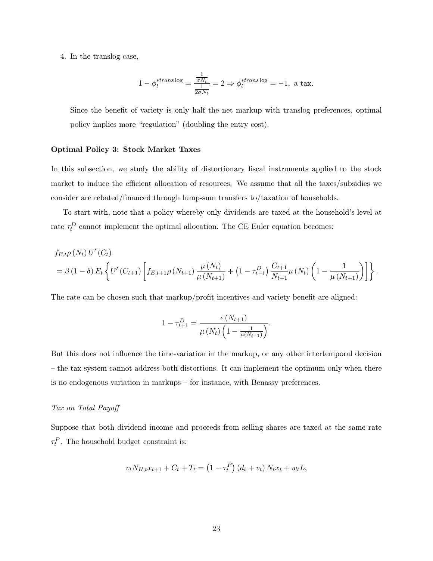4. In the translog case,

$$
1 - \phi_t^{*trans \log} = \frac{\frac{1}{\sigma N_t}}{\frac{1}{2\sigma N_t}} = 2 \Rightarrow \phi_t^{*trans \log} = -1, \text{ a tax.}
$$

Since the benefit of variety is only half the net markup with translog preferences, optimal policy implies more "regulation" (doubling the entry cost).

#### Optimal Policy 3: Stock Market Taxes

In this subsection, we study the ability of distortionary fiscal instruments applied to the stock market to induce the efficient allocation of resources. We assume that all the taxes/subsidies we consider are rebated/financed through lump-sum transfers to/taxation of households.

To start with, note that a policy whereby only dividends are taxed at the household's level at rate  $\tau_t^D$  cannot implement the optimal allocation. The CE Euler equation becomes:

$$
f_{E,t}\rho(N_t) U'(C_t)
$$
  
=  $\beta (1 - \delta) E_t \left\{ U'(C_{t+1}) \left[ f_{E,t+1}\rho(N_{t+1}) \frac{\mu(N_t)}{\mu(N_{t+1})} + (1 - \tau_{t+1}^D) \frac{C_{t+1}}{N_{t+1}} \mu(N_t) \left( 1 - \frac{1}{\mu(N_{t+1})} \right) \right] \right\}.$ 

The rate can be chosen such that markup/profit incentives and variety benefit are aligned:

$$
1 - \tau_{t+1}^D = \frac{\epsilon(N_{t+1})}{\mu(N_t) \left(1 - \frac{1}{\mu(N_{t+1})}\right)}.
$$

But this does not influence the time-variation in the markup, or any other intertemporal decision — the tax system cannot address both distortions. It can implement the optimum only when there is no endogenous variation in markups — for instance, with Benassy preferences.

## Tax on Total Payoff

Suppose that both dividend income and proceeds from selling shares are taxed at the same rate  $\tau_t^P$ . The household budget constraint is:

$$
v_t N_{H,t} x_{t+1} + C_t + T_t = (1 - \tau_t^P) (d_t + v_t) N_t x_t + w_t L,
$$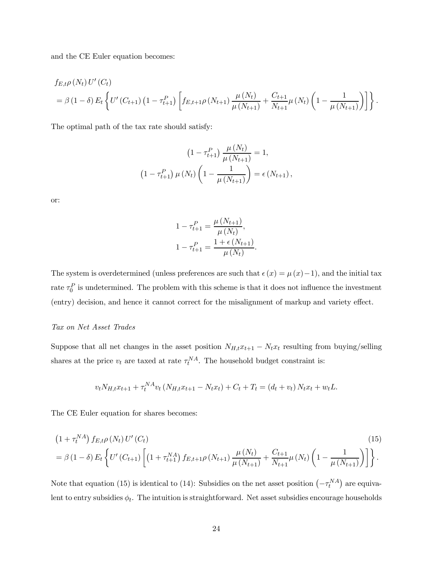and the CE Euler equation becomes:

$$
f_{E,t}\rho(N_t) U'(C_t)
$$
  
=  $\beta (1 - \delta) E_t \left\{ U'(C_{t+1}) (1 - \tau_{t+1}^P) \left[ f_{E,t+1}\rho(N_{t+1}) \frac{\mu(N_t)}{\mu(N_{t+1})} + \frac{C_{t+1}}{N_{t+1}} \mu(N_t) \left( 1 - \frac{1}{\mu(N_{t+1})} \right) \right] \right\}.$ 

The optimal path of the tax rate should satisfy:

$$
(1 - \tau_{t+1}^P) \frac{\mu(N_t)}{\mu(N_{t+1})} = 1,
$$
  

$$
(1 - \tau_{t+1}^P) \mu(N_t) \left(1 - \frac{1}{\mu(N_{t+1})}\right) = \epsilon(N_{t+1}),
$$

or:

$$
1 - \tau_{t+1}^P = \frac{\mu(N_{t+1})}{\mu(N_t)},
$$
  

$$
1 - \tau_{t+1}^P = \frac{1 + \epsilon(N_{t+1})}{\mu(N_t)}.
$$

The system is overdetermined (unless preferences are such that  $\epsilon(x) = \mu(x) - 1$ ), and the initial tax rate  $\tau_0^P$  is undetermined. The problem with this scheme is that it does not influence the investment (entry) decision, and hence it cannot correct for the misalignment of markup and variety effect.

#### Tax on Net Asset Trades

Suppose that all net changes in the asset position  $N_{H,t}x_{t+1} - N_t x_t$  resulting from buying/selling shares at the price  $v_t$  are taxed at rate  $\tau_t^{NA}$ . The household budget constraint is:

$$
v_t N_{H,t} x_{t+1} + \tau_t^{NA} v_t (N_{H,t} x_{t+1} - N_t x_t) + C_t + T_t = (d_t + v_t) N_t x_t + w_t L.
$$

The CE Euler equation for shares becomes:

$$
(15)
$$
\n
$$
= \beta (1 - \delta) E_t \left\{ U' (C_{t+1}) \left[ \left( 1 + \tau_{t+1}^{NA} \right) f_{E,t+1} \rho (N_{t+1}) \frac{\mu (N_t)}{\mu (N_{t+1})} + \frac{C_{t+1}}{N_{t+1}} \mu (N_t) \left( 1 - \frac{1}{\mu (N_{t+1})} \right) \right] \right\}.
$$
\n(15)

Note that equation (15) is identical to (14): Subsidies on the net asset position  $(-\tau_t^{NA})$  are equivalent to entry subsidies  $\phi_t$ . The intuition is straightforward. Net asset subsidies encourage households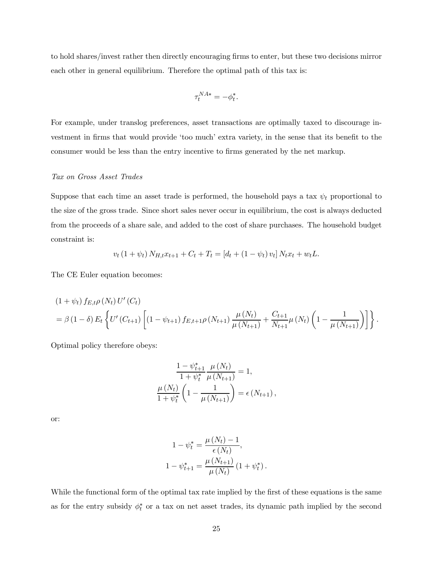to hold shares/invest rather then directly encouraging firms to enter, but these two decisions mirror each other in general equilibrium. Therefore the optimal path of this tax is:

$$
\tau_t^{NA*} = -\phi_t^*.
$$

For example, under translog preferences, asset transactions are optimally taxed to discourage investment in firms that would provide 'too much' extra variety, in the sense that its benefit to the consumer would be less than the entry incentive to firms generated by the net markup.

## Tax on Gross Asset Trades

Suppose that each time an asset trade is performed, the household pays a tax  $\psi_t$  proportional to the size of the gross trade. Since short sales never occur in equilibrium, the cost is always deducted from the proceeds of a share sale, and added to the cost of share purchases. The household budget constraint is:

$$
v_t (1 + \psi_t) N_{H,t} x_{t+1} + C_t + T_t = [d_t + (1 - \psi_t) v_t] N_t x_t + w_t L.
$$

The CE Euler equation becomes:

$$
(1 + \psi_t) f_{E,t} \rho(N_t) U'(C_t)
$$
  
=  $\beta (1 - \delta) E_t \left\{ U'(C_{t+1}) \left[ (1 - \psi_{t+1}) f_{E,t+1} \rho(N_{t+1}) \frac{\mu(N_t)}{\mu(N_{t+1})} + \frac{C_{t+1}}{N_{t+1}} \mu(N_t) \left( 1 - \frac{1}{\mu(N_{t+1})} \right) \right] \right\}.$ 

Optimal policy therefore obeys:

$$
\frac{1 - \psi_{t+1}^{*}}{1 + \psi_t^{*}} \frac{\mu(N_t)}{\mu(N_{t+1})} = 1,
$$
  

$$
\frac{\mu(N_t)}{1 + \psi_t^{*}} \left(1 - \frac{1}{\mu(N_{t+1})}\right) = \epsilon(N_{t+1}),
$$

or:

$$
1 - \psi_t^* = \frac{\mu(N_t) - 1}{\epsilon(N_t)},
$$
  

$$
1 - \psi_{t+1}^* = \frac{\mu(N_{t+1})}{\mu(N_t)} (1 + \psi_t^*).
$$

While the functional form of the optimal tax rate implied by the first of these equations is the same as for the entry subsidy  $\phi_t^*$  or a tax on net asset trades, its dynamic path implied by the second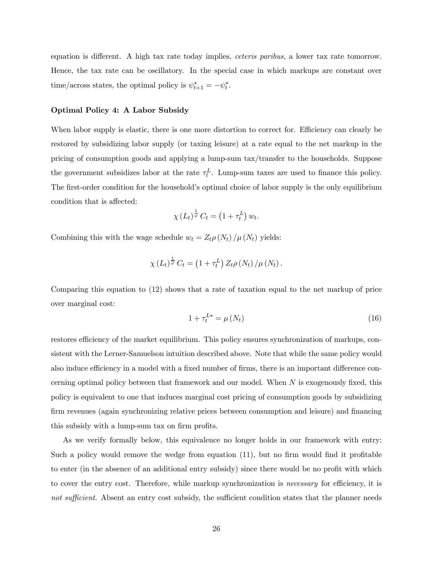equation is different. A high tax rate today implies, ceteris paribus, a lower tax rate tomorrow. Hence, the tax rate can be oscillatory. In the special case in which markups are constant over time/across states, the optimal policy is  $\psi_{t+1}^* = -\psi_t^*$ .

#### Optimal Policy 4: A Labor Subsidy

When labor supply is elastic, there is one more distortion to correct for. Efficiency can clearly be restored by subsidizing labor supply (or taxing leisure) at a rate equal to the net markup in the pricing of consumption goods and applying a lump-sum tax/transfer to the households. Suppose the government subsidizes labor at the rate  $\tau_t^L$ . Lump-sum taxes are used to finance this policy. The first-order condition for the household's optimal choice of labor supply is the only equilibrium condition that is affected:

$$
\chi(L_t)^{\frac{1}{\varphi}} C_t = \left(1 + \tau_t^L\right) w_t.
$$

Combining this with the wage schedule  $w_t = Z_t \rho(N_t) / \mu(N_t)$  yields:

$$
\chi(L_t)^{\frac{1}{\varphi}} C_t = \left(1 + \tau_t^L\right) Z_t \rho(N_t) / \mu(N_t).
$$

Comparing this equation to (12) shows that a rate of taxation equal to the net markup of price over marginal cost:

$$
1 + \tau_t^{L*} = \mu(N_t) \tag{16}
$$

restores efficiency of the market equilibrium. This policy ensures synchronization of markups, consistent with the Lerner-Samuelson intuition described above. Note that while the same policy would also induce efficiency in a model with a fixed number of firms, there is an important difference concerning optimal policy between that framework and our model. When  $N$  is exogenously fixed, this policy is equivalent to one that induces marginal cost pricing of consumption goods by subsidizing firm revenues (again synchronizing relative prices between consumption and leisure) and financing this subsidy with a lump-sum tax on firm profits.

As we verify formally below, this equivalence no longer holds in our framework with entry: Such a policy would remove the wedge from equation (11), but no firm would find it profitable to enter (in the absence of an additional entry subsidy) since there would be no profit with which to cover the entry cost. Therefore, while markup synchronization is necessary for efficiency, it is not sufficient. Absent an entry cost subsidy, the sufficient condition states that the planner needs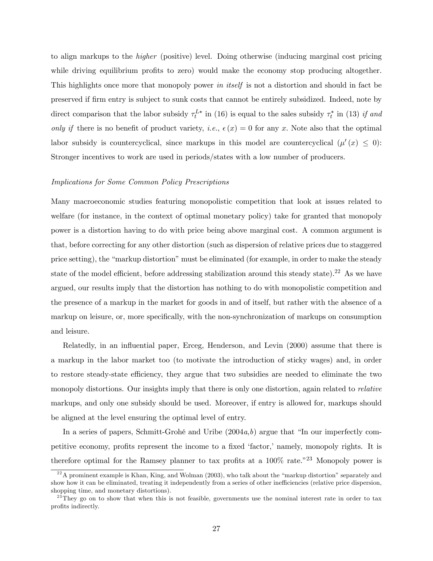to align markups to the higher (positive) level. Doing otherwise (inducing marginal cost pricing while driving equilibrium profits to zero) would make the economy stop producing altogether. This highlights once more that monopoly power in itself is not a distortion and should in fact be preserved if firm entry is subject to sunk costs that cannot be entirely subsidized. Indeed, note by direct comparison that the labor subsidy  $\tau_t^{L*}$  in (16) is equal to the sales subsidy  $\tau_t^*$  in (13) if and only if there is no benefit of product variety, i.e.,  $\epsilon(x)=0$  for any x. Note also that the optimal labor subsidy is countercyclical, since markups in this model are countercyclical  $(\mu'(x) \leq 0)$ : Stronger incentives to work are used in periods/states with a low number of producers.

## Implications for Some Common Policy Prescriptions

Many macroeconomic studies featuring monopolistic competition that look at issues related to welfare (for instance, in the context of optimal monetary policy) take for granted that monopoly power is a distortion having to do with price being above marginal cost. A common argument is that, before correcting for any other distortion (such as dispersion of relative prices due to staggered price setting), the "markup distortion" must be eliminated (for example, in order to make the steady state of the model efficient, before addressing stabilization around this steady state).<sup>22</sup> As we have argued, our results imply that the distortion has nothing to do with monopolistic competition and the presence of a markup in the market for goods in and of itself, but rather with the absence of a markup on leisure, or, more specifically, with the non-synchronization of markups on consumption and leisure.

Relatedly, in an influential paper, Erceg, Henderson, and Levin (2000) assume that there is a markup in the labor market too (to motivate the introduction of sticky wages) and, in order to restore steady-state efficiency, they argue that two subsidies are needed to eliminate the two monopoly distortions. Our insights imply that there is only one distortion, again related to *relative* markups, and only one subsidy should be used. Moreover, if entry is allowed for, markups should be aligned at the level ensuring the optimal level of entry.

In a series of papers, Schmitt-Grohé and Uribe  $(2004a,b)$  argue that "In our imperfectly competitive economy, profits represent the income to a fixed 'factor,' namely, monopoly rights. It is therefore optimal for the Ramsey planner to tax profits at a  $100\%$  rate.<sup>"23</sup> Monopoly power is

 $^{22}$ A prominent example is Khan, King, and Wolman (2003), who talk about the "markup distortion" separately and show how it can be eliminated, treating it independently from a series of other inefficiencies (relative price dispersion, shopping time, and monetary distortions).

 $^{23}$ They go on to show that when this is not feasible, governments use the nominal interest rate in order to tax profits indirectly.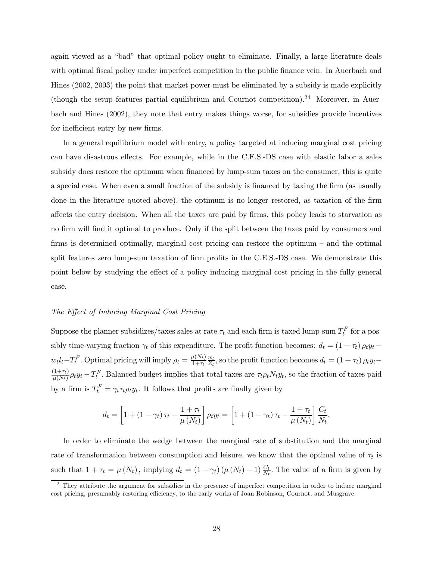again viewed as a "bad" that optimal policy ought to eliminate. Finally, a large literature deals with optimal fiscal policy under imperfect competition in the public finance vein. In Auerbach and Hines (2002, 2003) the point that market power must be eliminated by a subsidy is made explicitly (though the setup features partial equilibrium and Cournot competition).<sup>24</sup> Moreover, in Auerbach and Hines (2002), they note that entry makes things worse, for subsidies provide incentives for inefficient entry by new firms.

In a general equilibrium model with entry, a policy targeted at inducing marginal cost pricing can have disastrous effects. For example, while in the C.E.S.-DS case with elastic labor a sales subsidy does restore the optimum when financed by lump-sum taxes on the consumer, this is quite a special case. When even a small fraction of the subsidy is financed by taxing the firm (as usually done in the literature quoted above), the optimum is no longer restored, as taxation of the firm affects the entry decision. When all the taxes are paid by firms, this policy leads to starvation as no firm will find it optimal to produce. Only if the split between the taxes paid by consumers and firms is determined optimally, marginal cost pricing can restore the optimum — and the optimal split features zero lump-sum taxation of firm profits in the C.E.S.-DS case. We demonstrate this point below by studying the effect of a policy inducing marginal cost pricing in the fully general case.

#### The Effect of Inducing Marginal Cost Pricing

Suppose the planner subsidizes/taxes sales at rate  $\tau_t$  and each firm is taxed lump-sum  $T_t^F$  for a possibly time-varying fraction  $\gamma_t$  of this expenditure. The profit function becomes:  $d_t = (1 + \tau_t) \rho_t y_t$  $w_t l_t - T_t^F$ . Optimal pricing will imply  $\rho_t = \frac{\mu(N_t)}{1+\tau_t}$  $w_t$  $\frac{w_t}{Z_t}$ , so the profit function becomes  $d_t = (1 + \tau_t) \rho_t y_t \frac{(1+\tau_t)}{\mu(N_t)} \rho_t y_t - T_t^F$ . Balanced budget implies that total taxes are  $\tau_t \rho_t N_t y_t$ , so the fraction of taxes paid by a firm is  $T_t^F = \gamma_t \tau_t \rho_t y_t$ . It follows that profits are finally given by

$$
d_t = \left[1 + \left(1 - \gamma_t\right)\tau_t - \frac{1 + \tau_t}{\mu\left(N_t\right)}\right]\rho_t y_t = \left[1 + \left(1 - \gamma_t\right)\tau_t - \frac{1 + \tau_t}{\mu\left(N_t\right)}\right]\frac{C_t}{N_t}.
$$

In order to eliminate the wedge between the marginal rate of substitution and the marginal rate of transformation between consumption and leisure, we know that the optimal value of  $\tau_t$  is such that  $1 + \tau_t = \mu(N_t)$ , implying  $d_t = (1 - \gamma_t) (\mu(N_t) - 1) \frac{C_t}{N_t}$ . The value of a firm is given by

 $^{24}$ They attribute the argument for subsidies in the presence of imperfect competition in order to induce marginal cost pricing, presumably restoring efficiency, to the early works of Joan Robinson, Cournot, and Musgrave.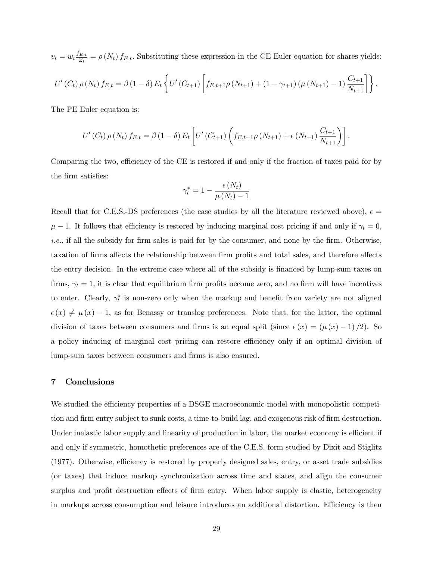$v_t = w_t \frac{f_{E,t}}{Z_t} = \rho(N_t) f_{E,t}$ . Substituting these expression in the CE Euler equation for shares yields:  $U'(C_t) \rho(N_t) f_{E,t} = \beta (1 - \delta) E_t$  $\sqrt{ }$  $U'(C_{t+1})$  $\left[ f_{E,t+1}\rho\left(N_{t+1}\right) + \left(1-\gamma_{t+1}\right)\left(\mu\left(N_{t+1}\right)-1\right)\frac{C_{t+1}}{N_{t+1}}\right] \right\}.$ 

The PE Euler equation is:

$$
U'(C_t) \rho(N_t) f_{E,t} = \beta (1 - \delta) E_t \left[ U'(C_{t+1}) \left( f_{E,t+1} \rho(N_{t+1}) + \epsilon (N_{t+1}) \frac{C_{t+1}}{N_{t+1}} \right) \right].
$$

Comparing the two, efficiency of the CE is restored if and only if the fraction of taxes paid for by the firm satisfies:

$$
\gamma_t^* = 1 - \frac{\epsilon(N_t)}{\mu(N_t) - 1}
$$

Recall that for C.E.S.-DS preferences (the case studies by all the literature reviewed above),  $\epsilon =$  $\mu - 1$ . It follows that efficiency is restored by inducing marginal cost pricing if and only if  $\gamma_t = 0$ , i.e., if all the subsidy for firm sales is paid for by the consumer, and none by the firm. Otherwise, taxation of firms affects the relationship between firm profits and total sales, and therefore affects the entry decision. In the extreme case where all of the subsidy is financed by lump-sum taxes on firms,  $\gamma_t = 1$ , it is clear that equilibrium firm profits become zero, and no firm will have incentives to enter. Clearly,  $\gamma_t^*$  is non-zero only when the markup and benefit from variety are not aligned  $\epsilon(x) \neq \mu(x) - 1$ , as for Benassy or translog preferences. Note that, for the latter, the optimal division of taxes between consumers and firms is an equal split (since  $\epsilon(x)=(\mu(x) - 1)/2$ ). So a policy inducing of marginal cost pricing can restore efficiency only if an optimal division of lump-sum taxes between consumers and firms is also ensured.

## 7 Conclusions

We studied the efficiency properties of a DSGE macroeconomic model with monopolistic competition and firm entry subject to sunk costs, a time-to-build lag, and exogenous risk of firm destruction. Under inelastic labor supply and linearity of production in labor, the market economy is efficient if and only if symmetric, homothetic preferences are of the C.E.S. form studied by Dixit and Stiglitz (1977). Otherwise, efficiency is restored by properly designed sales, entry, or asset trade subsidies (or taxes) that induce markup synchronization across time and states, and align the consumer surplus and profit destruction effects of firm entry. When labor supply is elastic, heterogeneity in markups across consumption and leisure introduces an additional distortion. Efficiency is then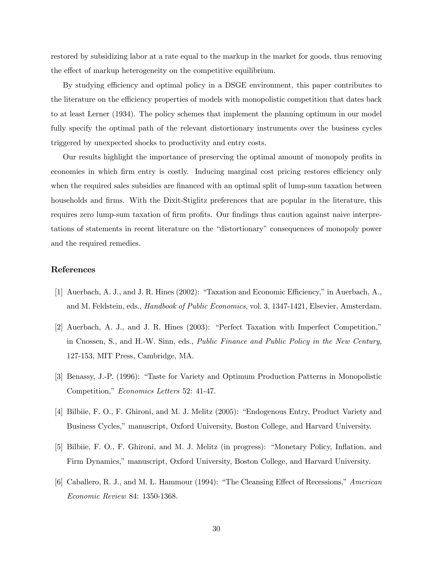restored by subsidizing labor at a rate equal to the markup in the market for goods, thus removing the effect of markup heterogeneity on the competitive equilibrium.

By studying efficiency and optimal policy in a DSGE environment, this paper contributes to the literature on the efficiency properties of models with monopolistic competition that dates back to at least Lerner (1934). The policy schemes that implement the planning optimum in our model fully specify the optimal path of the relevant distortionary instruments over the business cycles triggered by unexpected shocks to productivity and entry costs.

Our results highlight the importance of preserving the optimal amount of monopoly profits in economies in which firm entry is costly. Inducing marginal cost pricing restores efficiency only when the required sales subsidies are financed with an optimal split of lump-sum taxation between households and firms. With the Dixit-Stiglitz preferences that are popular in the literature, this requires zero lump-sum taxation of firm profits. Our findings thus caution against naive interpretations of statements in recent literature on the "distortionary" consequences of monopoly power and the required remedies.

## References

- [1] Auerbach, A. J., and J. R. Hines (2002): "Taxation and Economic Efficiency," in Auerbach, A., and M. Feldstein, eds., *Handbook of Public Economics*, vol. 3, 1347-1421, Elsevier, Amsterdam.
- [2] Auerbach, A. J., and J. R. Hines (2003): "Perfect Taxation with Imperfect Competition," in Cnossen, S., and H.-W. Sinn, eds., Public Finance and Public Policy in the New Century, 127-153, MIT Press, Cambridge, MA.
- [3] Benassy, J.-P. (1996): "Taste for Variety and Optimum Production Patterns in Monopolistic Competition," Economics Letters 52: 41-47.
- [4] Bilbiie, F. O., F. Ghironi, and M. J. Melitz (2005): "Endogenous Entry, Product Variety and Business Cycles," manuscript, Oxford University, Boston College, and Harvard University.
- [5] Bilbiie, F. O., F. Ghironi, and M. J. Melitz (in progress): "Monetary Policy, Inflation, and Firm Dynamics," manuscript, Oxford University, Boston College, and Harvard University.
- [6] Caballero, R. J., and M. L. Hammour (1994): "The Cleansing Effect of Recessions," American Economic Review 84: 1350-1368.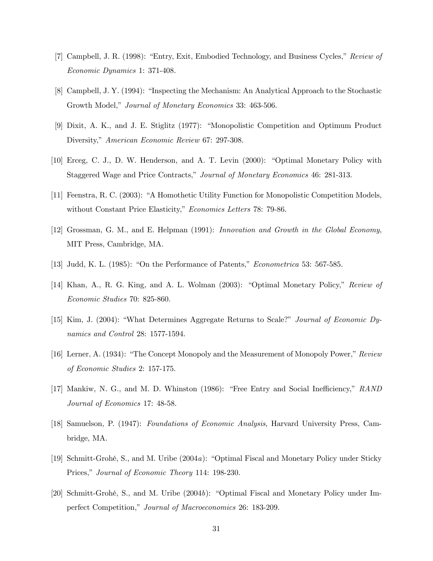- [7] Campbell, J. R. (1998): "Entry, Exit, Embodied Technology, and Business Cycles," Review of Economic Dynamics 1: 371-408.
- [8] Campbell, J. Y. (1994): "Inspecting the Mechanism: An Analytical Approach to the Stochastic Growth Model," Journal of Monetary Economics 33: 463-506.
- [9] Dixit, A. K., and J. E. Stiglitz (1977): "Monopolistic Competition and Optimum Product Diversity," American Economic Review 67: 297-308.
- [10] Erceg, C. J., D. W. Henderson, and A. T. Levin (2000): "Optimal Monetary Policy with Staggered Wage and Price Contracts," Journal of Monetary Economics 46: 281-313.
- [11] Feenstra, R. C. (2003): "A Homothetic Utility Function for Monopolistic Competition Models, without Constant Price Elasticity," Economics Letters 78: 79-86.
- [12] Grossman, G. M., and E. Helpman (1991): Innovation and Growth in the Global Economy, MIT Press, Cambridge, MA.
- [13] Judd, K. L. (1985): "On the Performance of Patents," Econometrica 53: 567-585.
- [14] Khan, A., R. G. King, and A. L. Wolman (2003): "Optimal Monetary Policy," Review of Economic Studies 70: 825-860.
- [15] Kim, J. (2004): "What Determines Aggregate Returns to Scale?" Journal of Economic Dynamics and Control 28: 1577-1594.
- [16] Lerner, A. (1934): "The Concept Monopoly and the Measurement of Monopoly Power," Review of Economic Studies 2: 157-175.
- [17] Mankiw, N. G., and M. D. Whinston (1986): "Free Entry and Social Inefficiency," RAND Journal of Economics 17: 48-58.
- [18] Samuelson, P. (1947): Foundations of Economic Analysis, Harvard University Press, Cambridge, MA.
- [19] Schmitt-Grohé, S., and M. Uribe (2004a): "Optimal Fiscal and Monetary Policy under Sticky Prices," Journal of Economic Theory 114: 198-230.
- [20] Schmitt-Grohé, S., and M. Uribe (2004b): "Optimal Fiscal and Monetary Policy under Imperfect Competition," Journal of Macroeconomics 26: 183-209.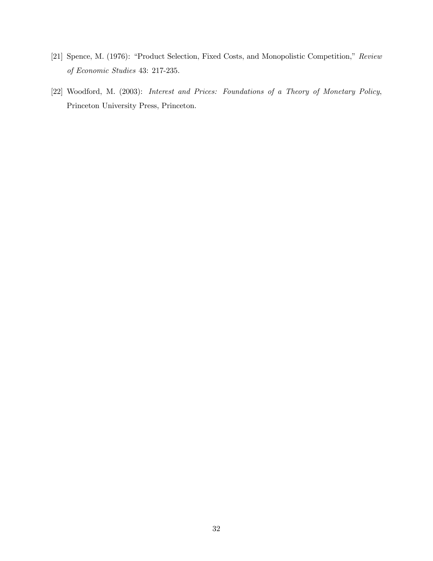- [21] Spence, M. (1976): "Product Selection, Fixed Costs, and Monopolistic Competition," Review of Economic Studies 43: 217-235.
- [22] Woodford, M. (2003): Interest and Prices: Foundations of a Theory of Monetary Policy, Princeton University Press, Princeton.